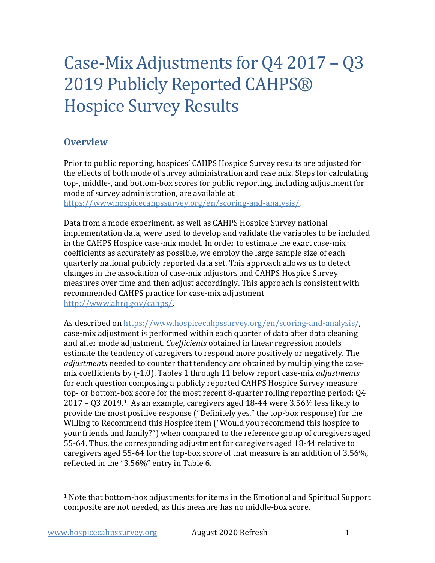# Case-Mix Adjustments for Q4 2017 – Q3 2019 Publicly Reported CAHPS® Hospice Survey Results

## **Overview**

Prior to public reporting, hospices' CAHPS Hospice Survey results are adjusted for the effects of both mode of survey administration and case mix. Steps for calculating top-, middle-, and bottom-box scores for public reporting, including adjustment for mode of survey administration, are available at

[https://www.hospicecahpssurvey.org/en/scoring-and-analysis/.](https://hospicecahpssurvey.org/en/public-reporting/scoring-and-analysis/)

Data from a mode experiment, as well as CAHPS Hospice Survey national implementation data, were used to develop and validate the variables to be included in the CAHPS Hospice case-mix model. In order to estimate the exact case-mix coefficients as accurately as possible, we employ the large sample size of each quarterly national publicly reported data set. This approach allows us to detect changes in the association of case-mix adjustors and CAHPS Hospice Survey measures over time and then adjust accordingly. This approach is consistent with recommended CAHPS practice for case-mix adjustment [http://www.ahrq.gov/cahps/.](https://www.ahrq.gov/cahps/)

As described on [https://www.hospicecahpssurvey.org/en/scoring-and-analysis/,](https://hospicecahpssurvey.org/en/public-reporting/scoring-and-analysis/) case-mix adjustment is performed within each quarter of data after data cleaning and after mode adjustment. *Coefficients* obtained in linear regression models estimate the tendency of caregivers to respond more positively or negatively. The *adjustments* needed to counter that tendency are obtained by multiplying the casemix coefficients by (-1.0). Tables 1 through 11 below report case-mix *adjustments* for each question composing a publicly reported CAHPS Hospice Survey measure top- or bottom-box score for the most recent 8-quarter rolling reporting period: Q4 2017 – Q3 2019.[1](#page-0-0) As an example, caregivers aged 18-44 were 3.56% less likely to provide the most positive response ("Definitely yes," the top-box response) for the Willing to Recommend this Hospice item ("Would you recommend this hospice to your friends and family?") when compared to the reference group of caregivers aged 55-64. Thus, the corresponding adjustment for caregivers aged 18-44 relative to caregivers aged 55-64 for the top-box score of that measure is an addition of 3.56%, reflected in the "3.56%" entry in Table 6.

<span id="page-0-0"></span> $1$  Note that bottom-box adjustments for items in the Emotional and Spiritual Support composite are not needed, as this measure has no middle-box score.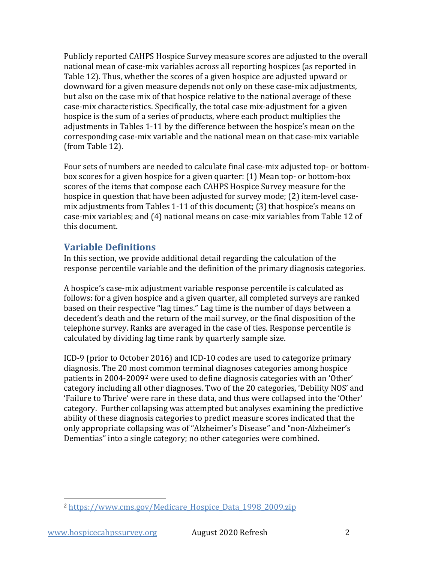Publicly reported CAHPS Hospice Survey measure scores are adjusted to the overall national mean of case-mix variables across all reporting hospices (as reported in Table 12). Thus, whether the scores of a given hospice are adjusted upward or downward for a given measure depends not only on these case-mix adjustments, but also on the case mix of that hospice relative to the national average of these case-mix characteristics. Specifically, the total case mix-adjustment for a given hospice is the sum of a series of products, where each product multiplies the adjustments in Tables 1-11 by the difference between the hospice's mean on the corresponding case-mix variable and the national mean on that case-mix variable (from Table 12).

Four sets of numbers are needed to calculate final case-mix adjusted top- or bottombox scores for a given hospice for a given quarter: (1) Mean top- or bottom-box scores of the items that compose each CAHPS Hospice Survey measure for the hospice in question that have been adjusted for survey mode; (2) item-level casemix adjustments from Tables 1-11 of this document; (3) that hospice's means on case-mix variables; and (4) national means on case-mix variables from Table 12 of this document.

## **Variable Definitions**

In this section, we provide additional detail regarding the calculation of the response percentile variable and the definition of the primary diagnosis categories.

A hospice's case-mix adjustment variable response percentile is calculated as follows: for a given hospice and a given quarter, all completed surveys are ranked based on their respective "lag times." Lag time is the number of days between a decedent's death and the return of the mail survey, or the final disposition of the telephone survey. Ranks are averaged in the case of ties. Response percentile is calculated by dividing lag time rank by quarterly sample size.

ICD-9 (prior to October 2016) and ICD-10 codes are used to categorize primary diagnosis. The 20 most common terminal diagnoses categories among hospice patients in 2004-2009[2](#page-1-0) were used to define diagnosis categories with an 'Other' category including all other diagnoses. Two of the 20 categories, 'Debility NOS' and 'Failure to Thrive' were rare in these data, and thus were collapsed into the 'Other' category. Further collapsing was attempted but analyses examining the predictive ability of these diagnosis categories to predict measure scores indicated that the only appropriate collapsing was of "Alzheimer's Disease" and "non-Alzheimer's Dementias" into a single category; no other categories were combined.

<span id="page-1-0"></span><sup>2</sup> [https://www.cms.gov/Medicare\\_Hospice\\_Data\\_1998\\_2009.zip](https://www.cms.gov/Medicare/Medicare-Fee-for-Service-Payment/Hospice/Downloads/Medicare_Hospice_Data_1998_2009.zip)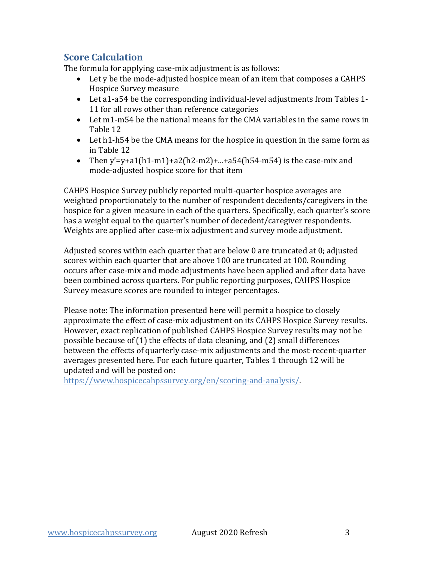# **Score Calculation**

The formula for applying case-mix adjustment is as follows:

- Let y be the mode-adjusted hospice mean of an item that composes a CAHPS Hospice Survey measure
- Let a1-a54 be the corresponding individual-level adjustments from Tables 1- 11 for all rows other than reference categories
- Let m1-m54 be the national means for the CMA variables in the same rows in Table 12
- Let h1-h54 be the CMA means for the hospice in question in the same form as in Table 12
- Then  $y'=v+a1(h1-m1)+a2(h2-m2)+...+a54(h54-m54)$  is the case-mix and mode-adjusted hospice score for that item

CAHPS Hospice Survey publicly reported multi-quarter hospice averages are weighted proportionately to the number of respondent decedents/caregivers in the hospice for a given measure in each of the quarters. Specifically, each quarter's score has a weight equal to the quarter's number of decedent/caregiver respondents. Weights are applied after case-mix adjustment and survey mode adjustment.

Adjusted scores within each quarter that are below 0 are truncated at 0; adjusted scores within each quarter that are above 100 are truncated at 100. Rounding occurs after case-mix and mode adjustments have been applied and after data have been combined across quarters. For public reporting purposes, CAHPS Hospice Survey measure scores are rounded to integer percentages.

Please note: The information presented here will permit a hospice to closely approximate the effect of case-mix adjustment on its CAHPS Hospice Survey results. However, exact replication of published CAHPS Hospice Survey results may not be possible because of (1) the effects of data cleaning, and (2) small differences between the effects of quarterly case-mix adjustments and the most-recent-quarter averages presented here. For each future quarter, Tables 1 through 12 will be updated and will be posted on:

[https://www.hospicecahpssurvey.org/en/scoring-and-analysis/.](https://hospicecahpssurvey.org/en/public-reporting/scoring-and-analysis/)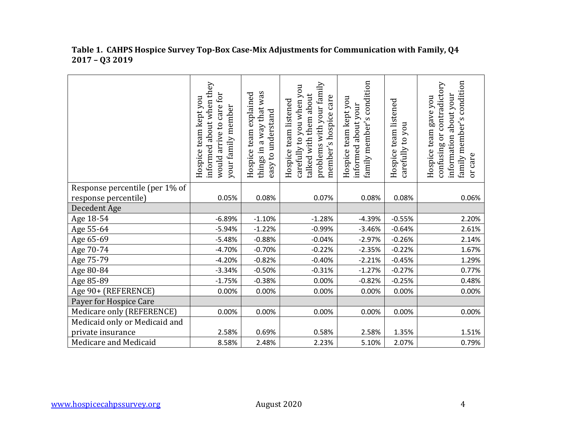|                                | informed about when they<br>would arrive to care for<br>Hospice team kept you<br>your family member | things in a way that was<br>team explained<br>easy to understand<br>Hospice | problems with your family<br>carefully to you when you<br>talked with them about<br>member's hospice care<br>Hospice team listened | condition<br>Hospice team kept you<br>about your<br>family member's<br>informed | Hospice team listened<br>carefully to you | family member's condition<br>contradictory<br>information about your<br>Hospice team gave you<br>ðr<br>confusing<br>or care |
|--------------------------------|-----------------------------------------------------------------------------------------------------|-----------------------------------------------------------------------------|------------------------------------------------------------------------------------------------------------------------------------|---------------------------------------------------------------------------------|-------------------------------------------|-----------------------------------------------------------------------------------------------------------------------------|
| Response percentile (per 1% of |                                                                                                     |                                                                             |                                                                                                                                    |                                                                                 |                                           |                                                                                                                             |
| response percentile)           | 0.05%                                                                                               | 0.08%                                                                       | 0.07%                                                                                                                              | 0.08%                                                                           | 0.08%                                     | 0.06%                                                                                                                       |
| Decedent Age                   |                                                                                                     |                                                                             |                                                                                                                                    |                                                                                 |                                           |                                                                                                                             |
| Age 18-54                      | $-6.89%$                                                                                            | $-1.10%$                                                                    | $-1.28%$                                                                                                                           | $-4.39%$                                                                        | $-0.55%$                                  | 2.20%                                                                                                                       |
| Age 55-64                      | $-5.94%$                                                                                            | $-1.22%$                                                                    | $-0.99%$                                                                                                                           | $-3.46%$                                                                        | $-0.64%$                                  | 2.61%                                                                                                                       |
| Age 65-69                      | $-5.48%$                                                                                            | $-0.88%$                                                                    | $-0.04%$                                                                                                                           | $-2.97%$                                                                        | $-0.26%$                                  | 2.14%                                                                                                                       |
| Age 70-74                      | $-4.70%$                                                                                            | $-0.70%$                                                                    | $-0.22%$                                                                                                                           | $-2.35%$                                                                        | $-0.22%$                                  | 1.67%                                                                                                                       |
| Age 75-79                      | $-4.20%$                                                                                            | $-0.82%$                                                                    | $-0.40%$                                                                                                                           | $-2.21%$                                                                        | $-0.45%$                                  | 1.29%                                                                                                                       |
| Age 80-84                      | $-3.34%$                                                                                            | $-0.50%$                                                                    | $-0.31%$                                                                                                                           | $-1.27%$                                                                        | $-0.27%$                                  | 0.77%                                                                                                                       |
| Age 85-89                      | $-1.75%$                                                                                            | $-0.38%$                                                                    | 0.00%                                                                                                                              | $-0.82%$                                                                        | $-0.25%$                                  | 0.48%                                                                                                                       |
| Age 90+ (REFERENCE)            | 0.00%                                                                                               | 0.00%                                                                       | 0.00%                                                                                                                              | 0.00%                                                                           | 0.00%                                     | 0.00%                                                                                                                       |
| Payer for Hospice Care         |                                                                                                     |                                                                             |                                                                                                                                    |                                                                                 |                                           |                                                                                                                             |
| Medicare only (REFERENCE)      | 0.00%                                                                                               | 0.00%                                                                       | 0.00%                                                                                                                              | 0.00%                                                                           | 0.00%                                     | 0.00%                                                                                                                       |
| Medicaid only or Medicaid and  |                                                                                                     |                                                                             |                                                                                                                                    |                                                                                 |                                           |                                                                                                                             |
| private insurance              | 2.58%                                                                                               | 0.69%                                                                       | 0.58%                                                                                                                              | 2.58%                                                                           | 1.35%                                     | 1.51%                                                                                                                       |
| Medicare and Medicaid          | 8.58%                                                                                               | 2.48%                                                                       | 2.23%                                                                                                                              | 5.10%                                                                           | 2.07%                                     | 0.79%                                                                                                                       |

#### **Table 1. CAHPS Hospice Survey Top-Box Case-Mix Adjustments for Communication with Family, Q4 2017 – Q3 2019**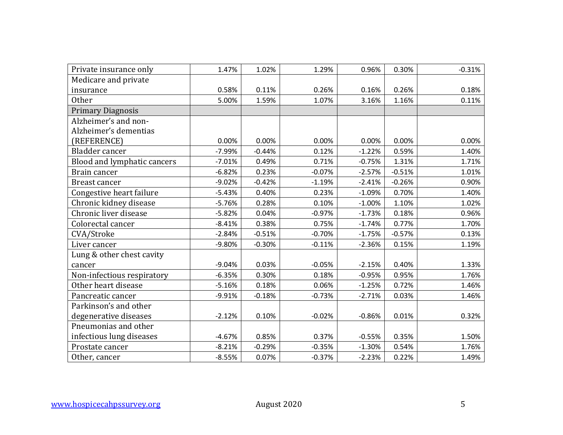| Private insurance only      | 1.47%    | 1.02%    | 1.29%    | 0.96%    | 0.30%    | $-0.31%$ |
|-----------------------------|----------|----------|----------|----------|----------|----------|
| Medicare and private        |          |          |          |          |          |          |
| insurance                   | 0.58%    | 0.11%    | 0.26%    | 0.16%    | 0.26%    | 0.18%    |
| <b>Other</b>                | 5.00%    | 1.59%    | 1.07%    | 3.16%    | 1.16%    | 0.11%    |
| <b>Primary Diagnosis</b>    |          |          |          |          |          |          |
| Alzheimer's and non-        |          |          |          |          |          |          |
| Alzheimer's dementias       |          |          |          |          |          |          |
| (REFERENCE)                 | 0.00%    | 0.00%    | 0.00%    | 0.00%    | 0.00%    | 0.00%    |
| Bladder cancer              | $-7.99%$ | $-0.44%$ | 0.12%    | $-1.22%$ | 0.59%    | 1.40%    |
| Blood and lymphatic cancers | $-7.01%$ | 0.49%    | 0.71%    | $-0.75%$ | 1.31%    | 1.71%    |
| Brain cancer                | $-6.82%$ | 0.23%    | $-0.07%$ | $-2.57%$ | $-0.51%$ | 1.01%    |
| Breast cancer               | $-9.02%$ | $-0.42%$ | $-1.19%$ | $-2.41%$ | $-0.26%$ | 0.90%    |
| Congestive heart failure    | $-5.43%$ | 0.40%    | 0.23%    | $-1.09%$ | 0.70%    | 1.40%    |
| Chronic kidney disease      | $-5.76%$ | 0.28%    | 0.10%    | $-1.00%$ | 1.10%    | 1.02%    |
| Chronic liver disease       | $-5.82%$ | 0.04%    | $-0.97%$ | $-1.73%$ | 0.18%    | 0.96%    |
| Colorectal cancer           | $-8.41%$ | 0.38%    | 0.75%    | $-1.74%$ | 0.77%    | 1.70%    |
| CVA/Stroke                  | $-2.84%$ | $-0.51%$ | $-0.70%$ | $-1.75%$ | $-0.57%$ | 0.13%    |
| Liver cancer                | $-9.80%$ | $-0.30%$ | $-0.11%$ | $-2.36%$ | 0.15%    | 1.19%    |
| Lung & other chest cavity   |          |          |          |          |          |          |
| cancer                      | $-9.04%$ | 0.03%    | $-0.05%$ | $-2.15%$ | 0.40%    | 1.33%    |
| Non-infectious respiratory  | $-6.35%$ | 0.30%    | 0.18%    | $-0.95%$ | 0.95%    | 1.76%    |
| Other heart disease         | $-5.16%$ | 0.18%    | 0.06%    | $-1.25%$ | 0.72%    | 1.46%    |
| Pancreatic cancer           | $-9.91%$ | $-0.18%$ | $-0.73%$ | $-2.71%$ | 0.03%    | 1.46%    |
| Parkinson's and other       |          |          |          |          |          |          |
| degenerative diseases       | $-2.12%$ | 0.10%    | $-0.02%$ | $-0.86%$ | 0.01%    | 0.32%    |
| Pneumonias and other        |          |          |          |          |          |          |
| infectious lung diseases    | $-4.67%$ | 0.85%    | 0.37%    | $-0.55%$ | 0.35%    | 1.50%    |
| Prostate cancer             | $-8.21%$ | $-0.29%$ | $-0.35%$ | $-1.30%$ | 0.54%    | 1.76%    |
| Other, cancer               | $-8.55%$ | 0.07%    | $-0.37%$ | $-2.23%$ | 0.22%    | 1.49%    |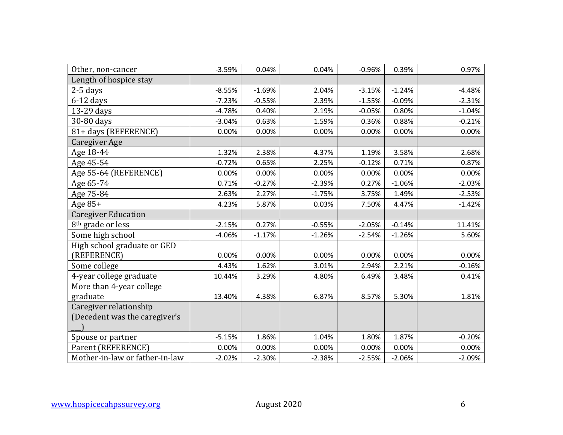| Other, non-cancer              | $-3.59%$ | 0.04%    | 0.04%    | $-0.96%$ | 0.39%    | 0.97%    |
|--------------------------------|----------|----------|----------|----------|----------|----------|
| Length of hospice stay         |          |          |          |          |          |          |
| $2-5$ days                     | $-8.55%$ | $-1.69%$ | 2.04%    | $-3.15%$ | $-1.24%$ | $-4.48%$ |
| $6-12$ days                    | $-7.23%$ | $-0.55%$ | 2.39%    | $-1.55%$ | $-0.09%$ | $-2.31%$ |
| 13-29 days                     | $-4.78%$ | 0.40%    | 2.19%    | $-0.05%$ | 0.80%    | $-1.04%$ |
| 30-80 days                     | $-3.04%$ | 0.63%    | 1.59%    | 0.36%    | 0.88%    | $-0.21%$ |
| 81+ days (REFERENCE)           | 0.00%    | 0.00%    | 0.00%    | 0.00%    | 0.00%    | 0.00%    |
| <b>Caregiver Age</b>           |          |          |          |          |          |          |
| Age 18-44                      | 1.32%    | 2.38%    | 4.37%    | 1.19%    | 3.58%    | 2.68%    |
| Age 45-54                      | $-0.72%$ | 0.65%    | 2.25%    | $-0.12%$ | 0.71%    | 0.87%    |
| Age 55-64 (REFERENCE)          | 0.00%    | 0.00%    | 0.00%    | 0.00%    | 0.00%    | 0.00%    |
| Age 65-74                      | 0.71%    | $-0.27%$ | $-2.39%$ | 0.27%    | $-1.06%$ | $-2.03%$ |
| Age 75-84                      | 2.63%    | 2.27%    | $-1.75%$ | 3.75%    | 1.49%    | $-2.53%$ |
| Age 85+                        | 4.23%    | 5.87%    | 0.03%    | 7.50%    | 4.47%    | $-1.42%$ |
| <b>Caregiver Education</b>     |          |          |          |          |          |          |
| 8 <sup>th</sup> grade or less  | $-2.15%$ | 0.27%    | $-0.55%$ | $-2.05%$ | $-0.14%$ | 11.41%   |
| Some high school               | $-4.06%$ | $-1.17%$ | $-1.26%$ | $-2.54%$ | $-1.26%$ | 5.60%    |
| High school graduate or GED    |          |          |          |          |          |          |
| (REFERENCE)                    | 0.00%    | 0.00%    | 0.00%    | 0.00%    | 0.00%    | 0.00%    |
| Some college                   | 4.43%    | 1.62%    | 3.01%    | 2.94%    | 2.21%    | $-0.16%$ |
| 4-year college graduate        | 10.44%   | 3.29%    | 4.80%    | 6.49%    | 3.48%    | 0.41%    |
| More than 4-year college       |          |          |          |          |          |          |
| graduate                       | 13.40%   | 4.38%    | 6.87%    | 8.57%    | 5.30%    | 1.81%    |
| Caregiver relationship         |          |          |          |          |          |          |
| (Decedent was the caregiver's  |          |          |          |          |          |          |
|                                |          |          |          |          |          |          |
| Spouse or partner              | $-5.15%$ | 1.86%    | 1.04%    | 1.80%    | 1.87%    | $-0.20%$ |
| Parent (REFERENCE)             | 0.00%    | 0.00%    | 0.00%    | 0.00%    | 0.00%    | 0.00%    |
| Mother-in-law or father-in-law | $-2.02%$ | $-2.30%$ | $-2.38%$ | $-2.55%$ | $-2.06%$ | $-2.09%$ |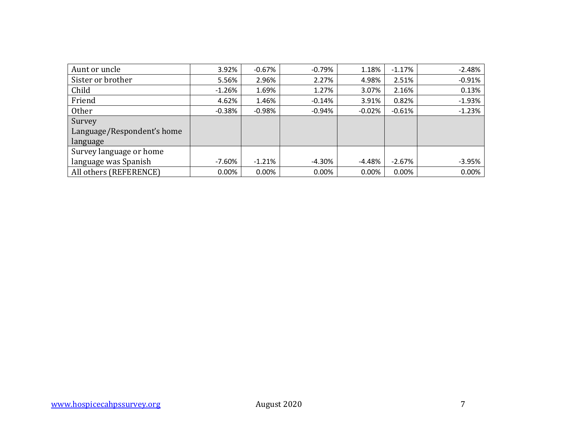| Aunt or uncle              | 3.92%     | $-0.67%$ | $-0.79%$ | 1.18%    | $-1.17%$ | $-2.48%$ |
|----------------------------|-----------|----------|----------|----------|----------|----------|
| Sister or brother          | 5.56%     | 2.96%    | 2.27%    | 4.98%    | 2.51%    | $-0.91%$ |
| Child                      | $-1.26%$  | 1.69%    | 1.27%    | 3.07%    | 2.16%    | 0.13%    |
| Friend                     | 4.62%     | 1.46%    | $-0.14%$ | 3.91%    | 0.82%    | $-1.93%$ |
| <b>Other</b>               | $-0.38%$  | $-0.98%$ | $-0.94%$ | $-0.02%$ | $-0.61%$ | $-1.23%$ |
| Survey                     |           |          |          |          |          |          |
| Language/Respondent's home |           |          |          |          |          |          |
| language                   |           |          |          |          |          |          |
| Survey language or home    |           |          |          |          |          |          |
| language was Spanish       | $-7.60\%$ | $-1.21%$ | $-4.30%$ | -4.48%   | $-2.67%$ | $-3.95%$ |
| All others (REFERENCE)     | 0.00%     | 0.00%    | 0.00%    | 0.00%    | 0.00%    | 0.00%    |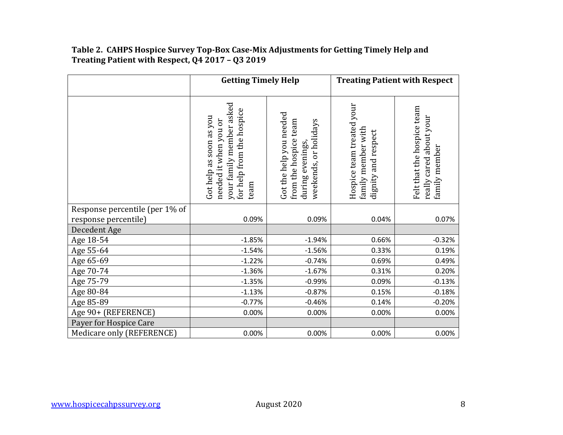#### **Table 2. CAHPS Hospice Survey Top-Box Case-Mix Adjustments for Getting Timely Help and Treating Patient with Respect, Q4 2017 – Q3 2019**

|                                                        | <b>Getting Timely Help</b>                                                                                        |                                                                                               |                                                                        | <b>Treating Patient with Respect</b>                                   |
|--------------------------------------------------------|-------------------------------------------------------------------------------------------------------------------|-----------------------------------------------------------------------------------------------|------------------------------------------------------------------------|------------------------------------------------------------------------|
|                                                        | your family member asked<br>for help from the hospice<br>Got help as soon as you<br>needed it when you or<br>team | Got the help you needed<br>from the hospice team<br>weekends, or holidays<br>during evenings, | Hospice team treated your<br>family member with<br>dignity and respect | Felt that the hospice team<br>really cared about your<br>family member |
| Response percentile (per 1% of<br>response percentile) | 0.09%                                                                                                             | 0.09%                                                                                         | 0.04%                                                                  | 0.07%                                                                  |
| Decedent Age                                           |                                                                                                                   |                                                                                               |                                                                        |                                                                        |
| Age 18-54                                              | $-1.85%$                                                                                                          | $-1.94%$                                                                                      | 0.66%                                                                  | $-0.32%$                                                               |
| Age 55-64                                              | $-1.54%$                                                                                                          | $-1.56%$                                                                                      | 0.33%                                                                  | 0.19%                                                                  |
| Age 65-69                                              | $-1.22%$                                                                                                          | $-0.74%$                                                                                      | 0.69%                                                                  | 0.49%                                                                  |
| Age 70-74                                              | $-1.36%$                                                                                                          | $-1.67%$                                                                                      | 0.31%                                                                  | 0.20%                                                                  |
| Age 75-79                                              | $-1.35%$                                                                                                          | $-0.99%$                                                                                      | 0.09%                                                                  | $-0.13%$                                                               |
| Age 80-84                                              | $-1.13%$                                                                                                          | $-0.87%$                                                                                      | 0.15%                                                                  | $-0.18%$                                                               |
| Age 85-89                                              | $-0.77%$                                                                                                          | $-0.46%$                                                                                      | 0.14%                                                                  | $-0.20%$                                                               |
| Age 90+ (REFERENCE)                                    | 0.00%                                                                                                             | 0.00%                                                                                         | 0.00%                                                                  | 0.00%                                                                  |
| Payer for Hospice Care                                 |                                                                                                                   |                                                                                               |                                                                        |                                                                        |
| Medicare only (REFERENCE)                              | 0.00%                                                                                                             | 0.00%                                                                                         | 0.00%                                                                  | 0.00%                                                                  |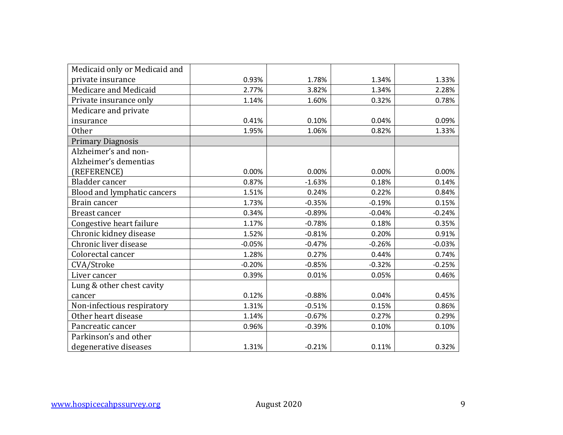| Medicaid only or Medicaid and |          |          |          |          |
|-------------------------------|----------|----------|----------|----------|
| private insurance             | 0.93%    | 1.78%    | 1.34%    | 1.33%    |
| Medicare and Medicaid         | 2.77%    | 3.82%    | 1.34%    | 2.28%    |
| Private insurance only        | 1.14%    | 1.60%    | 0.32%    | 0.78%    |
| Medicare and private          |          |          |          |          |
| insurance                     | 0.41%    | 0.10%    | 0.04%    | 0.09%    |
| <b>Other</b>                  | 1.95%    | 1.06%    | 0.82%    | 1.33%    |
| <b>Primary Diagnosis</b>      |          |          |          |          |
| Alzheimer's and non-          |          |          |          |          |
| Alzheimer's dementias         |          |          |          |          |
| (REFERENCE)                   | 0.00%    | 0.00%    | 0.00%    | 0.00%    |
| Bladder cancer                | 0.87%    | $-1.63%$ | 0.18%    | 0.14%    |
| Blood and lymphatic cancers   | 1.51%    | 0.24%    | 0.22%    | 0.84%    |
| Brain cancer                  | 1.73%    | $-0.35%$ | $-0.19%$ | 0.15%    |
| Breast cancer                 | 0.34%    | $-0.89%$ | $-0.04%$ | $-0.24%$ |
| Congestive heart failure      | 1.17%    | $-0.78%$ | 0.18%    | 0.35%    |
| Chronic kidney disease        | 1.52%    | $-0.81%$ | 0.20%    | 0.91%    |
| Chronic liver disease         | $-0.05%$ | $-0.47%$ | $-0.26%$ | $-0.03%$ |
| Colorectal cancer             | 1.28%    | 0.27%    | 0.44%    | 0.74%    |
| CVA/Stroke                    | $-0.20%$ | $-0.85%$ | $-0.32%$ | $-0.25%$ |
| Liver cancer                  | 0.39%    | 0.01%    | 0.05%    | 0.46%    |
| Lung & other chest cavity     |          |          |          |          |
| cancer                        | 0.12%    | $-0.88%$ | 0.04%    | 0.45%    |
| Non-infectious respiratory    | 1.31%    | $-0.51%$ | 0.15%    | 0.86%    |
| Other heart disease           | 1.14%    | $-0.67%$ | 0.27%    | 0.29%    |
| Pancreatic cancer             | 0.96%    | $-0.39%$ | 0.10%    | 0.10%    |
| Parkinson's and other         |          |          |          |          |
| degenerative diseases         | 1.31%    | $-0.21%$ | 0.11%    | 0.32%    |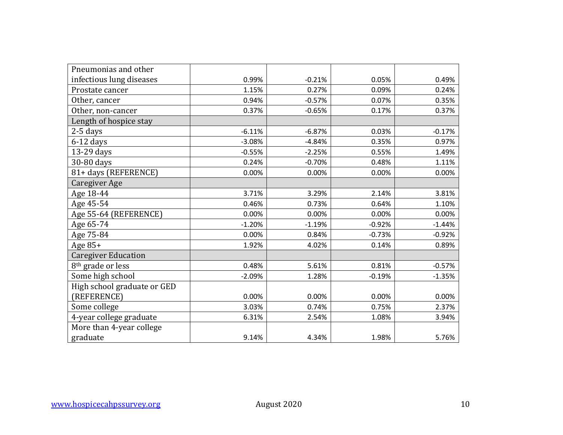| Pneumonias and other          |          |          |          |          |
|-------------------------------|----------|----------|----------|----------|
| infectious lung diseases      | 0.99%    | $-0.21%$ | 0.05%    | 0.49%    |
| Prostate cancer               | 1.15%    | 0.27%    | 0.09%    | 0.24%    |
| Other, cancer                 | 0.94%    | $-0.57%$ | 0.07%    | 0.35%    |
| Other, non-cancer             | 0.37%    | $-0.65%$ | 0.17%    | 0.37%    |
| Length of hospice stay        |          |          |          |          |
| 2-5 days                      | $-6.11%$ | $-6.87%$ | 0.03%    | $-0.17%$ |
| $6-12$ days                   | $-3.08%$ | $-4.84%$ | 0.35%    | 0.97%    |
| 13-29 days                    | $-0.55%$ | $-2.25%$ | 0.55%    | 1.49%    |
| 30-80 days                    | 0.24%    | $-0.70%$ | 0.48%    | 1.11%    |
| 81+ days (REFERENCE)          | 0.00%    | 0.00%    | 0.00%    | 0.00%    |
| Caregiver Age                 |          |          |          |          |
| Age 18-44                     | 3.71%    | 3.29%    | 2.14%    | 3.81%    |
| Age 45-54                     | 0.46%    | 0.73%    | 0.64%    | 1.10%    |
| Age 55-64 (REFERENCE)         | 0.00%    | 0.00%    | 0.00%    | 0.00%    |
| Age 65-74                     | $-1.20%$ | $-1.19%$ | $-0.92%$ | $-1.44%$ |
| Age 75-84                     | 0.00%    | 0.84%    | $-0.73%$ | $-0.92%$ |
| Age $85+$                     | 1.92%    | 4.02%    | 0.14%    | 0.89%    |
| <b>Caregiver Education</b>    |          |          |          |          |
| 8 <sup>th</sup> grade or less | 0.48%    | 5.61%    | 0.81%    | $-0.57%$ |
| Some high school              | $-2.09%$ | 1.28%    | $-0.19%$ | $-1.35%$ |
| High school graduate or GED   |          |          |          |          |
| (REFERENCE)                   | 0.00%    | 0.00%    | 0.00%    | 0.00%    |
| Some college                  | 3.03%    | 0.74%    | 0.75%    | 2.37%    |
| 4-year college graduate       | 6.31%    | 2.54%    | 1.08%    | 3.94%    |
| More than 4-year college      |          |          |          |          |
| graduate                      | 9.14%    | 4.34%    | 1.98%    | 5.76%    |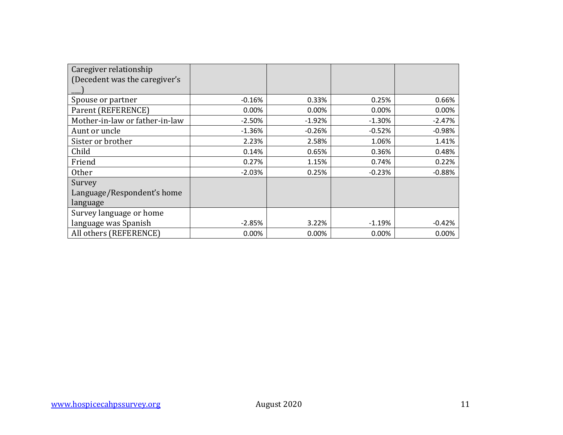| Caregiver relationship         |          |          |          |          |
|--------------------------------|----------|----------|----------|----------|
| (Decedent was the caregiver's  |          |          |          |          |
|                                |          |          |          |          |
| Spouse or partner              | $-0.16%$ | 0.33%    | 0.25%    | 0.66%    |
| Parent (REFERENCE)             | 0.00%    | 0.00%    | 0.00%    | 0.00%    |
| Mother-in-law or father-in-law | $-2.50%$ | $-1.92%$ | $-1.30%$ | $-2.47%$ |
| Aunt or uncle                  | $-1.36%$ | $-0.26%$ | $-0.52%$ | $-0.98%$ |
| Sister or brother              | 2.23%    | 2.58%    | 1.06%    | 1.41%    |
| Child                          | 0.14%    | 0.65%    | 0.36%    | 0.48%    |
| Friend                         | 0.27%    | 1.15%    | 0.74%    | 0.22%    |
| <b>Other</b>                   | $-2.03%$ | 0.25%    | $-0.23%$ | $-0.88%$ |
| Survey                         |          |          |          |          |
| Language/Respondent's home     |          |          |          |          |
| language                       |          |          |          |          |
| Survey language or home        |          |          |          |          |
| language was Spanish           | $-2.85%$ | 3.22%    | $-1.19%$ | $-0.42%$ |
| All others (REFERENCE)         | 0.00%    | 0.00%    | 0.00%    | 0.00%    |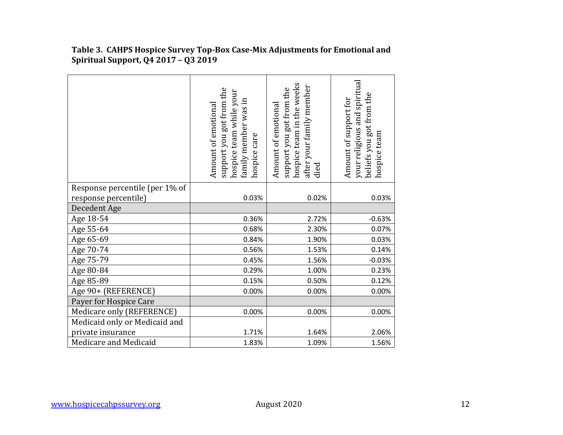|                                | support you got from the<br>hospice team while your<br>family member was in<br>Amount of emotional<br>hospice care | hospice team in the weeks<br>after your family member<br>support you got from the<br>Amount of emotional<br>died | your religious and spiritual<br>beliefs you got from the<br>Amount of support for<br>hospice team |
|--------------------------------|--------------------------------------------------------------------------------------------------------------------|------------------------------------------------------------------------------------------------------------------|---------------------------------------------------------------------------------------------------|
| Response percentile (per 1% of |                                                                                                                    |                                                                                                                  |                                                                                                   |
| response percentile)           | 0.03%                                                                                                              | 0.02%                                                                                                            | 0.03%                                                                                             |
| Decedent Age                   |                                                                                                                    |                                                                                                                  |                                                                                                   |
| Age 18-54                      | 0.36%                                                                                                              | 2.72%                                                                                                            | $-0.63%$                                                                                          |
| Age 55-64                      | 0.68%                                                                                                              | 2.30%                                                                                                            | 0.07%                                                                                             |
| Age 65-69                      | 0.84%                                                                                                              | 1.90%                                                                                                            | 0.03%                                                                                             |
| Age 70-74                      | 0.56%                                                                                                              | 1.53%                                                                                                            | 0.14%                                                                                             |
| Age 75-79                      | 0.45%                                                                                                              | 1.56%                                                                                                            | $-0.03%$                                                                                          |
| Age 80-84                      | 0.29%                                                                                                              | 1.00%                                                                                                            | 0.23%                                                                                             |
| Age 85-89                      | 0.15%                                                                                                              | 0.50%                                                                                                            | 0.12%                                                                                             |
| Age 90+ (REFERENCE)            | 0.00%                                                                                                              | 0.00%                                                                                                            | 0.00%                                                                                             |
| Payer for Hospice Care         |                                                                                                                    |                                                                                                                  |                                                                                                   |
| Medicare only (REFERENCE)      | 0.00%                                                                                                              | 0.00%                                                                                                            | 0.00%                                                                                             |
| Medicaid only or Medicaid and  |                                                                                                                    |                                                                                                                  |                                                                                                   |
| private insurance              | 1.71%                                                                                                              | 1.64%                                                                                                            | 2.06%                                                                                             |
| Medicare and Medicaid          | 1.83%                                                                                                              | 1.09%                                                                                                            | 1.56%                                                                                             |

**Table 3. CAHPS Hospice Survey Top-Box Case-Mix Adjustments for Emotional and Spiritual Support, Q4 2017 – Q3 2019**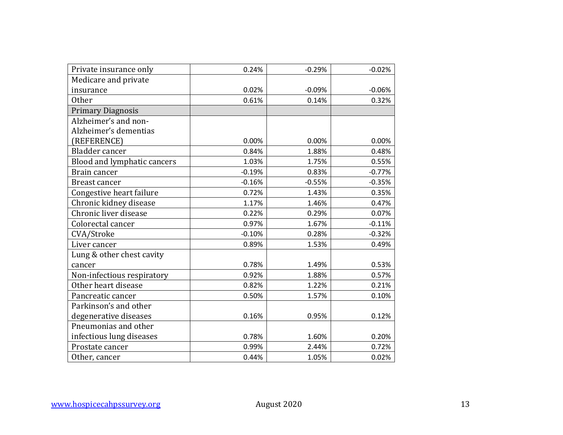| Private insurance only      | 0.24%    | $-0.29%$ | $-0.02%$ |
|-----------------------------|----------|----------|----------|
| Medicare and private        |          |          |          |
| insurance                   | 0.02%    | $-0.09%$ | $-0.06%$ |
| <b>Other</b>                | 0.61%    | 0.14%    | 0.32%    |
| <b>Primary Diagnosis</b>    |          |          |          |
| Alzheimer's and non-        |          |          |          |
| Alzheimer's dementias       |          |          |          |
| (REFERENCE)                 | 0.00%    | 0.00%    | 0.00%    |
| Bladder cancer              | 0.84%    | 1.88%    | 0.48%    |
| Blood and lymphatic cancers | 1.03%    | 1.75%    | 0.55%    |
| Brain cancer                | $-0.19%$ | 0.83%    | $-0.77%$ |
| Breast cancer               | $-0.16%$ | $-0.55%$ | $-0.35%$ |
| Congestive heart failure    | 0.72%    | 1.43%    | 0.35%    |
| Chronic kidney disease      | 1.17%    | 1.46%    | 0.47%    |
| Chronic liver disease       | 0.22%    | 0.29%    | 0.07%    |
| Colorectal cancer           | 0.97%    | 1.67%    | $-0.11%$ |
| CVA/Stroke                  | $-0.10%$ | 0.28%    | $-0.32%$ |
| Liver cancer                | 0.89%    | 1.53%    | 0.49%    |
| Lung & other chest cavity   |          |          |          |
| cancer                      | 0.78%    | 1.49%    | 0.53%    |
| Non-infectious respiratory  | 0.92%    | 1.88%    | 0.57%    |
| Other heart disease         | 0.82%    | 1.22%    | 0.21%    |
| Pancreatic cancer           | 0.50%    | 1.57%    | 0.10%    |
| Parkinson's and other       |          |          |          |
| degenerative diseases       | 0.16%    | 0.95%    | 0.12%    |
| Pneumonias and other        |          |          |          |
| infectious lung diseases    | 0.78%    | 1.60%    | 0.20%    |
| Prostate cancer             | 0.99%    | 2.44%    | 0.72%    |
| Other, cancer               | 0.44%    | 1.05%    | 0.02%    |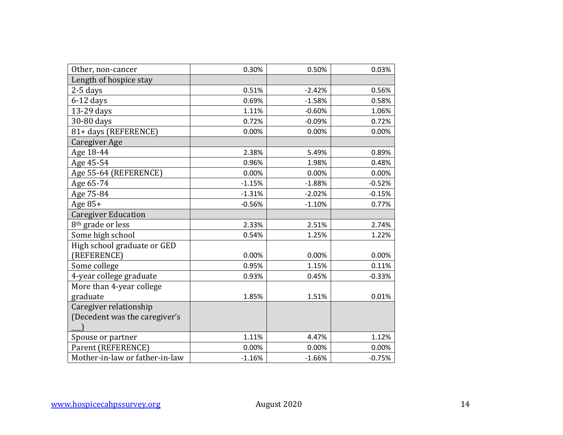| Other, non-cancer              | 0.30%    | 0.50%    | 0.03%    |
|--------------------------------|----------|----------|----------|
| Length of hospice stay         |          |          |          |
| $2-5$ days                     | 0.51%    | $-2.42%$ | 0.56%    |
| $6-12$ days                    | 0.69%    | $-1.58%$ | 0.58%    |
| 13-29 days                     | 1.11%    | $-0.60%$ | 1.06%    |
| 30-80 days                     | 0.72%    | $-0.09%$ | 0.72%    |
| 81+ days (REFERENCE)           | 0.00%    | 0.00%    | 0.00%    |
| <b>Caregiver Age</b>           |          |          |          |
| Age 18-44                      | 2.38%    | 5.49%    | 0.89%    |
| Age 45-54                      | 0.96%    | 1.98%    | 0.48%    |
| Age 55-64 (REFERENCE)          | 0.00%    | 0.00%    | 0.00%    |
| Age 65-74                      | $-1.15%$ | $-1.88%$ | $-0.52%$ |
| Age 75-84                      | $-1.31%$ | $-2.02%$ | $-0.15%$ |
| Age 85+                        | $-0.56%$ | $-1.10%$ | 0.77%    |
| <b>Caregiver Education</b>     |          |          |          |
| 8 <sup>th</sup> grade or less  | 2.33%    | 2.51%    | 2.74%    |
| Some high school               | 0.54%    | 1.25%    | 1.22%    |
| High school graduate or GED    |          |          |          |
| (REFERENCE)                    | 0.00%    | 0.00%    | 0.00%    |
| Some college                   | 0.95%    | 1.15%    | 0.11%    |
| 4-year college graduate        | 0.93%    | 0.45%    | $-0.33%$ |
| More than 4-year college       |          |          |          |
| graduate                       | 1.85%    | 1.51%    | 0.01%    |
| Caregiver relationship         |          |          |          |
| (Decedent was the caregiver's  |          |          |          |
|                                |          |          |          |
| Spouse or partner              | 1.11%    | 4.47%    | 1.12%    |
| Parent (REFERENCE)             | 0.00%    | 0.00%    | 0.00%    |
| Mother-in-law or father-in-law | $-1.16%$ | $-1.66%$ | $-0.75%$ |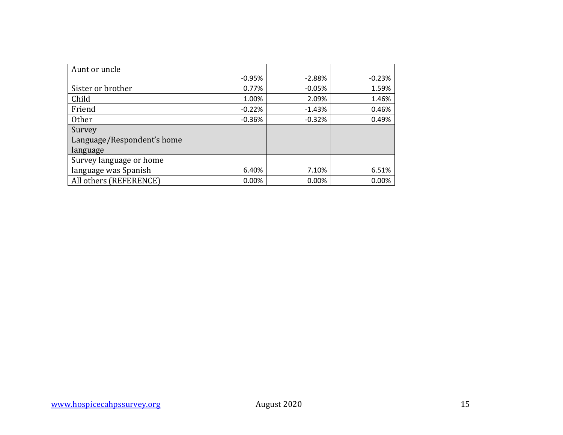| Aunt or uncle              |          |          |          |
|----------------------------|----------|----------|----------|
|                            | $-0.95%$ | $-2.88%$ | $-0.23%$ |
| Sister or brother          | 0.77%    | $-0.05%$ | 1.59%    |
| Child                      | 1.00%    | 2.09%    | 1.46%    |
| Friend                     | $-0.22%$ | $-1.43%$ | 0.46%    |
| Other                      | $-0.36%$ | $-0.32%$ | 0.49%    |
| Survey                     |          |          |          |
| Language/Respondent's home |          |          |          |
| language                   |          |          |          |
| Survey language or home    |          |          |          |
| language was Spanish       | 6.40%    | 7.10%    | 6.51%    |
| All others (REFERENCE)     | 0.00%    | 0.00%    | 0.00%    |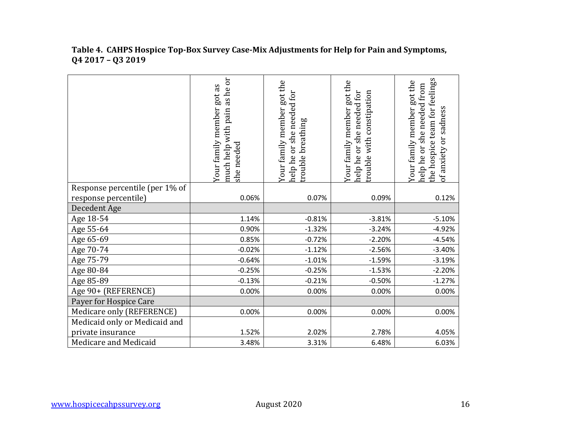|                                | as he or<br>Your family member got as<br>pain<br>much help with<br>she needed | Your family member got the<br>Your family member got the<br>help he or she needed for<br>she needed for<br>breathing<br>or<br>rouble<br>help he |          | the hospice team for feelings<br>Your family member got the<br>nelp he or she needed from<br>of anxiety or sadness |
|--------------------------------|-------------------------------------------------------------------------------|-------------------------------------------------------------------------------------------------------------------------------------------------|----------|--------------------------------------------------------------------------------------------------------------------|
| Response percentile (per 1% of |                                                                               |                                                                                                                                                 |          |                                                                                                                    |
| response percentile)           | 0.06%                                                                         | 0.07%                                                                                                                                           | 0.09%    | 0.12%                                                                                                              |
| Decedent Age                   |                                                                               |                                                                                                                                                 |          |                                                                                                                    |
| Age 18-54                      | 1.14%                                                                         | $-0.81%$                                                                                                                                        | $-3.81%$ | $-5.10%$                                                                                                           |
| Age 55-64                      | 0.90%                                                                         | $-1.32%$                                                                                                                                        | $-3.24%$ | $-4.92%$                                                                                                           |
| Age 65-69                      | 0.85%                                                                         | $-0.72%$                                                                                                                                        | $-2.20%$ | $-4.54%$                                                                                                           |
| Age 70-74                      | $-0.02%$                                                                      | $-1.12%$                                                                                                                                        | $-2.56%$ | $-3.40%$                                                                                                           |
| Age 75-79                      | $-0.64%$                                                                      | $-1.01%$                                                                                                                                        | $-1.59%$ | $-3.19%$                                                                                                           |
| Age 80-84                      | $-0.25%$                                                                      | $-0.25%$                                                                                                                                        | $-1.53%$ | $-2.20%$                                                                                                           |
| Age 85-89                      | $-0.13%$                                                                      | $-0.21%$                                                                                                                                        | $-0.50%$ | $-1.27%$                                                                                                           |
| Age 90+ (REFERENCE)            | 0.00%                                                                         | 0.00%                                                                                                                                           | 0.00%    | 0.00%                                                                                                              |
| Payer for Hospice Care         |                                                                               |                                                                                                                                                 |          |                                                                                                                    |
| Medicare only (REFERENCE)      | 0.00%                                                                         | 0.00%                                                                                                                                           | 0.00%    | 0.00%                                                                                                              |
| Medicaid only or Medicaid and  |                                                                               |                                                                                                                                                 |          |                                                                                                                    |
| private insurance              | 1.52%                                                                         | 2.02%                                                                                                                                           | 2.78%    | 4.05%                                                                                                              |
| Medicare and Medicaid          | 3.48%                                                                         | 3.31%                                                                                                                                           | 6.48%    | 6.03%                                                                                                              |

#### **Table 4. CAHPS Hospice Top-Box Survey Case-Mix Adjustments for Help for Pain and Symptoms, Q4 2017 – Q3 2019**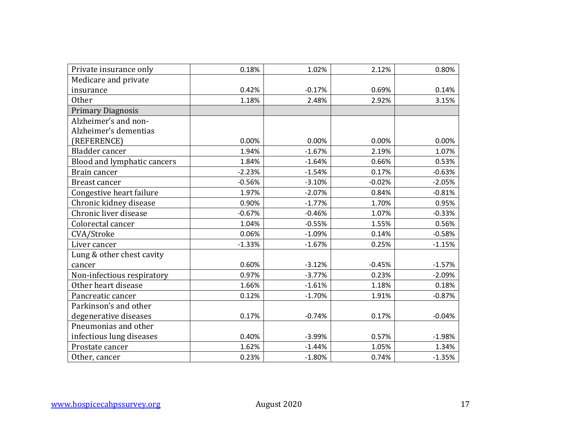| Private insurance only      | 0.18%    | 1.02%    | 2.12%    | 0.80%    |
|-----------------------------|----------|----------|----------|----------|
| Medicare and private        |          |          |          |          |
| insurance                   | 0.42%    | $-0.17%$ | 0.69%    | 0.14%    |
| <b>Other</b>                | 1.18%    | 2.48%    | 2.92%    | 3.15%    |
| <b>Primary Diagnosis</b>    |          |          |          |          |
| Alzheimer's and non-        |          |          |          |          |
| Alzheimer's dementias       |          |          |          |          |
| (REFERENCE)                 | 0.00%    | 0.00%    | 0.00%    | 0.00%    |
| Bladder cancer              | 1.94%    | $-1.67%$ | 2.19%    | 1.07%    |
| Blood and lymphatic cancers | 1.84%    | $-1.64%$ | 0.66%    | 0.53%    |
| Brain cancer                | $-2.23%$ | $-1.54%$ | 0.17%    | $-0.63%$ |
| <b>Breast cancer</b>        | $-0.56%$ | $-3.10%$ | $-0.02%$ | $-2.05%$ |
| Congestive heart failure    | 1.97%    | $-2.07%$ | 0.84%    | $-0.81%$ |
| Chronic kidney disease      | 0.90%    | $-1.77%$ | 1.70%    | 0.95%    |
| Chronic liver disease       | $-0.67%$ | $-0.46%$ | 1.07%    | $-0.33%$ |
| Colorectal cancer           | 1.04%    | $-0.55%$ | 1.55%    | 0.56%    |
| CVA/Stroke                  | 0.06%    | $-1.09%$ | 0.14%    | $-0.58%$ |
| Liver cancer                | $-1.33%$ | $-1.67%$ | 0.25%    | $-1.15%$ |
| Lung & other chest cavity   |          |          |          |          |
| cancer                      | 0.60%    | $-3.12%$ | $-0.45%$ | $-1.57%$ |
| Non-infectious respiratory  | 0.97%    | $-3.77%$ | 0.23%    | $-2.09%$ |
| Other heart disease         | 1.66%    | $-1.61%$ | 1.18%    | 0.18%    |
| Pancreatic cancer           | 0.12%    | $-1.70%$ | 1.91%    | $-0.87%$ |
| Parkinson's and other       |          |          |          |          |
| degenerative diseases       | 0.17%    | $-0.74%$ | 0.17%    | $-0.04%$ |
| Pneumonias and other        |          |          |          |          |
| infectious lung diseases    | 0.40%    | $-3.99%$ | 0.57%    | $-1.98%$ |
| Prostate cancer             | 1.62%    | $-1.44%$ | 1.05%    | 1.34%    |
| Other, cancer               | 0.23%    | $-1.80%$ | 0.74%    | $-1.35%$ |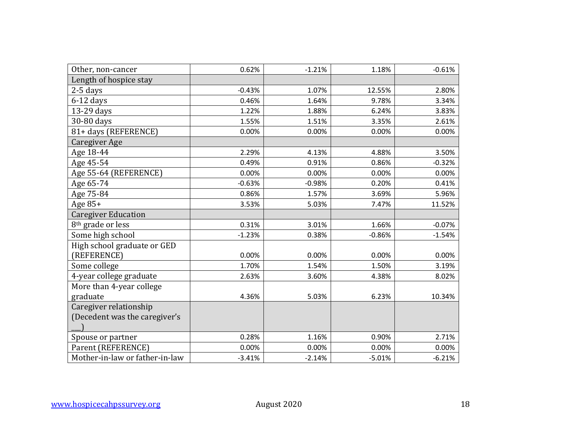| Other, non-cancer              | 0.62%    | $-1.21%$ | 1.18%    | $-0.61%$ |
|--------------------------------|----------|----------|----------|----------|
| Length of hospice stay         |          |          |          |          |
| $2-5$ days                     | $-0.43%$ | 1.07%    | 12.55%   | 2.80%    |
| $6-12$ days                    | 0.46%    | 1.64%    | 9.78%    | 3.34%    |
| 13-29 days                     | 1.22%    | 1.88%    | 6.24%    | 3.83%    |
| 30-80 days                     | 1.55%    | 1.51%    | 3.35%    | 2.61%    |
| 81+ days (REFERENCE)           | 0.00%    | 0.00%    | 0.00%    | 0.00%    |
| Caregiver Age                  |          |          |          |          |
| Age 18-44                      | 2.29%    | 4.13%    | 4.88%    | 3.50%    |
| Age 45-54                      | 0.49%    | 0.91%    | 0.86%    | $-0.32%$ |
| Age 55-64 (REFERENCE)          | 0.00%    | 0.00%    | 0.00%    | 0.00%    |
| Age 65-74                      | $-0.63%$ | $-0.98%$ | 0.20%    | 0.41%    |
| Age 75-84                      | 0.86%    | 1.57%    | 3.69%    | 5.96%    |
| Age 85+                        | 3.53%    | 5.03%    | 7.47%    | 11.52%   |
| <b>Caregiver Education</b>     |          |          |          |          |
| 8 <sup>th</sup> grade or less  | 0.31%    | 3.01%    | 1.66%    | $-0.07%$ |
| Some high school               | $-1.23%$ | 0.38%    | $-0.86%$ | $-1.54%$ |
| High school graduate or GED    |          |          |          |          |
| (REFERENCE)                    | 0.00%    | 0.00%    | 0.00%    | 0.00%    |
| Some college                   | 1.70%    | 1.54%    | 1.50%    | 3.19%    |
| 4-year college graduate        | 2.63%    | 3.60%    | 4.38%    | 8.02%    |
| More than 4-year college       |          |          |          |          |
| graduate                       | 4.36%    | 5.03%    | 6.23%    | 10.34%   |
| Caregiver relationship         |          |          |          |          |
| (Decedent was the caregiver's  |          |          |          |          |
|                                |          |          |          |          |
| Spouse or partner              | 0.28%    | 1.16%    | 0.90%    | 2.71%    |
| Parent (REFERENCE)             | 0.00%    | 0.00%    | 0.00%    | 0.00%    |
| Mother-in-law or father-in-law | $-3.41%$ | $-2.14%$ | $-5.01%$ | $-6.21%$ |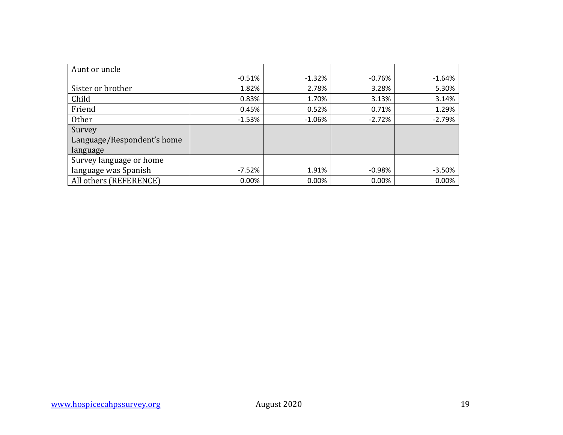| Aunt or uncle              |          |          |          |          |
|----------------------------|----------|----------|----------|----------|
|                            | $-0.51%$ | $-1.32%$ | $-0.76%$ | $-1.64%$ |
| Sister or brother          | 1.82%    | 2.78%    | 3.28%    | 5.30%    |
| Child                      | 0.83%    | 1.70%    | 3.13%    | 3.14%    |
| Friend                     | 0.45%    | 0.52%    | 0.71%    | 1.29%    |
| <b>Other</b>               | $-1.53%$ | $-1.06%$ | $-2.72%$ | $-2.79%$ |
| Survey                     |          |          |          |          |
| Language/Respondent's home |          |          |          |          |
| language                   |          |          |          |          |
| Survey language or home    |          |          |          |          |
| language was Spanish       | $-7.52%$ | 1.91%    | $-0.98%$ | $-3.50%$ |
| All others (REFERENCE)     | 0.00%    | 0.00%    | 0.00%    | 0.00%    |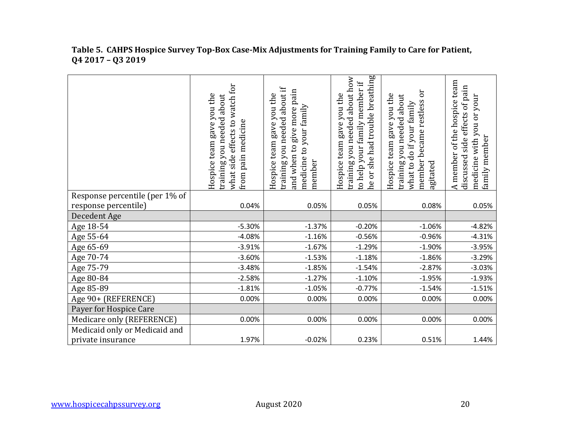|                                | what side effects to watch for<br>Hospice team gave you the<br>training you needed about<br>pain medicine<br>from | training you needed about if<br>and when to give more pain<br>Hospice team gave you the<br>medicine to your family<br>member | he or she had trouble breathing<br>training you needed about how<br>to help your family member if<br>Hospice team gave you the | ör<br>Hospice team gave you the<br>training you needed about<br>member became restless<br>what to do if your family<br>agitated | A member of the hospice team<br>side effects of pain<br>medicine with you or your<br>family member<br>discussed |
|--------------------------------|-------------------------------------------------------------------------------------------------------------------|------------------------------------------------------------------------------------------------------------------------------|--------------------------------------------------------------------------------------------------------------------------------|---------------------------------------------------------------------------------------------------------------------------------|-----------------------------------------------------------------------------------------------------------------|
| Response percentile (per 1% of |                                                                                                                   |                                                                                                                              |                                                                                                                                |                                                                                                                                 |                                                                                                                 |
| response percentile)           | 0.04%                                                                                                             | 0.05%                                                                                                                        | 0.05%                                                                                                                          | 0.08%                                                                                                                           | 0.05%                                                                                                           |
| Decedent Age                   |                                                                                                                   |                                                                                                                              |                                                                                                                                |                                                                                                                                 |                                                                                                                 |
| Age 18-54                      | $-5.30%$                                                                                                          | $-1.37%$                                                                                                                     | $-0.20%$                                                                                                                       | $-1.06%$                                                                                                                        | $-4.82%$                                                                                                        |
| Age 55-64                      | $-4.08%$                                                                                                          | $-1.16%$                                                                                                                     | $-0.56%$                                                                                                                       | $-0.96%$                                                                                                                        | $-4.31%$                                                                                                        |
| Age 65-69                      | $-3.91%$                                                                                                          | $-1.67%$                                                                                                                     | $-1.29%$                                                                                                                       | $-1.90%$                                                                                                                        | $-3.95%$                                                                                                        |
| Age 70-74                      | $-3.60%$                                                                                                          | $-1.53%$                                                                                                                     | $-1.18%$                                                                                                                       | $-1.86%$                                                                                                                        | $-3.29%$                                                                                                        |
| Age 75-79                      | $-3.48%$                                                                                                          | $-1.85%$                                                                                                                     | $-1.54%$                                                                                                                       | $-2.87%$                                                                                                                        | $-3.03%$                                                                                                        |
| Age 80-84                      | $-2.58%$                                                                                                          | $-1.27%$                                                                                                                     | $-1.10%$                                                                                                                       | $-1.95%$                                                                                                                        | $-1.93%$                                                                                                        |
| Age 85-89                      | $-1.81%$                                                                                                          | $-1.05%$                                                                                                                     | $-0.77%$                                                                                                                       | $-1.54%$                                                                                                                        | $-1.51%$                                                                                                        |
| Age 90+ (REFERENCE)            | 0.00%                                                                                                             | 0.00%                                                                                                                        | 0.00%                                                                                                                          | 0.00%                                                                                                                           | 0.00%                                                                                                           |
| Payer for Hospice Care         |                                                                                                                   |                                                                                                                              |                                                                                                                                |                                                                                                                                 |                                                                                                                 |
| Medicare only (REFERENCE)      | 0.00%                                                                                                             | 0.00%                                                                                                                        | 0.00%                                                                                                                          | 0.00%                                                                                                                           | 0.00%                                                                                                           |
| Medicaid only or Medicaid and  |                                                                                                                   |                                                                                                                              |                                                                                                                                |                                                                                                                                 |                                                                                                                 |
| private insurance              | 1.97%                                                                                                             | $-0.02%$                                                                                                                     | 0.23%                                                                                                                          | 0.51%                                                                                                                           | 1.44%                                                                                                           |

#### **Table 5. CAHPS Hospice Survey Top-Box Case-Mix Adjustments for Training Family to Care for Patient, Q4 2017 – Q3 2019**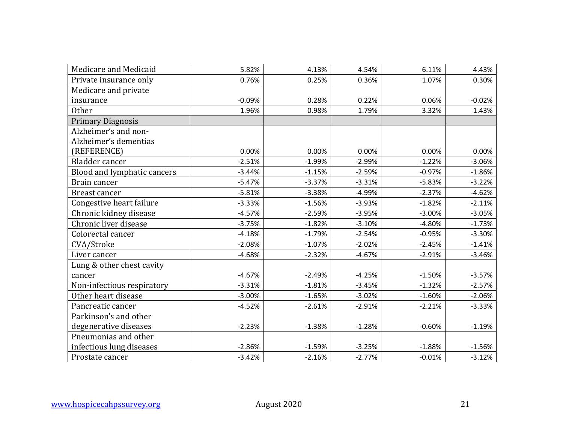| Medicare and Medicaid       | 5.82%    | 4.13%    | 4.54%    | 6.11%    | 4.43%    |
|-----------------------------|----------|----------|----------|----------|----------|
| Private insurance only      | 0.76%    | 0.25%    | 0.36%    | 1.07%    | 0.30%    |
| Medicare and private        |          |          |          |          |          |
| insurance                   | $-0.09%$ | 0.28%    | 0.22%    | 0.06%    | $-0.02%$ |
| Other                       | 1.96%    | 0.98%    | 1.79%    | 3.32%    | 1.43%    |
| <b>Primary Diagnosis</b>    |          |          |          |          |          |
| Alzheimer's and non-        |          |          |          |          |          |
| Alzheimer's dementias       |          |          |          |          |          |
| (REFERENCE)                 | 0.00%    | 0.00%    | 0.00%    | 0.00%    | 0.00%    |
| Bladder cancer              | $-2.51%$ | $-1.99%$ | $-2.99%$ | $-1.22%$ | $-3.06%$ |
| Blood and lymphatic cancers | $-3.44%$ | $-1.15%$ | $-2.59%$ | $-0.97%$ | $-1.86%$ |
| Brain cancer                | $-5.47%$ | $-3.37%$ | $-3.31%$ | $-5.83%$ | $-3.22%$ |
| <b>Breast cancer</b>        | $-5.81%$ | $-3.38%$ | $-4.99%$ | $-2.37%$ | $-4.62%$ |
| Congestive heart failure    | $-3.33%$ | $-1.56%$ | $-3.93%$ | $-1.82%$ | $-2.11%$ |
| Chronic kidney disease      | $-4.57%$ | $-2.59%$ | $-3.95%$ | $-3.00%$ | $-3.05%$ |
| Chronic liver disease       | $-3.75%$ | $-1.82%$ | $-3.10%$ | $-4.80%$ | $-1.73%$ |
| Colorectal cancer           | $-4.18%$ | $-1.79%$ | $-2.54%$ | $-0.95%$ | $-3.30%$ |
| CVA/Stroke                  | $-2.08%$ | $-1.07%$ | $-2.02%$ | $-2.45%$ | $-1.41%$ |
| Liver cancer                | $-4.68%$ | $-2.32%$ | $-4.67%$ | $-2.91%$ | $-3.46%$ |
| Lung & other chest cavity   |          |          |          |          |          |
| cancer                      | $-4.67%$ | $-2.49%$ | $-4.25%$ | $-1.50%$ | $-3.57%$ |
| Non-infectious respiratory  | $-3.31%$ | $-1.81%$ | $-3.45%$ | $-1.32%$ | $-2.57%$ |
| Other heart disease         | $-3.00%$ | $-1.65%$ | $-3.02%$ | $-1.60%$ | $-2.06%$ |
| Pancreatic cancer           | $-4.52%$ | $-2.61%$ | $-2.91%$ | $-2.21%$ | $-3.33%$ |
| Parkinson's and other       |          |          |          |          |          |
| degenerative diseases       | $-2.23%$ | $-1.38%$ | $-1.28%$ | $-0.60%$ | $-1.19%$ |
| Pneumonias and other        |          |          |          |          |          |
| infectious lung diseases    | $-2.86%$ | $-1.59%$ | $-3.25%$ | $-1.88%$ | $-1.56%$ |
| Prostate cancer             | $-3.42%$ | $-2.16%$ | $-2.77%$ | $-0.01%$ | $-3.12%$ |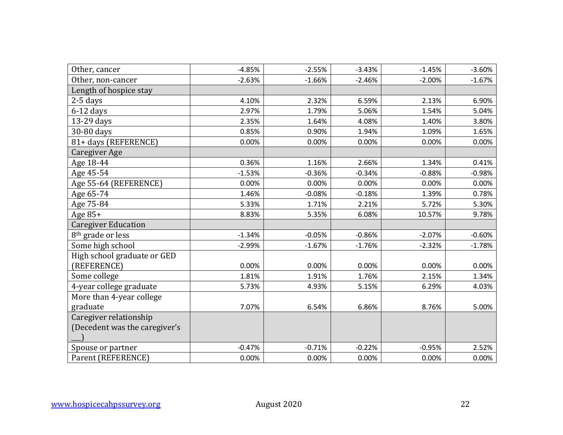| Other, cancer                 | $-4.85%$ | $-2.55%$ | $-3.43%$ | $-1.45%$ | $-3.60%$ |
|-------------------------------|----------|----------|----------|----------|----------|
| Other, non-cancer             | $-2.63%$ | $-1.66%$ | $-2.46%$ | $-2.00%$ | $-1.67%$ |
| Length of hospice stay        |          |          |          |          |          |
| $2-5$ days                    | 4.10%    | 2.32%    | 6.59%    | 2.13%    | 6.90%    |
| $6-12$ days                   | 2.97%    | 1.79%    | 5.06%    | 1.54%    | 5.04%    |
| 13-29 days                    | 2.35%    | 1.64%    | 4.08%    | 1.40%    | 3.80%    |
| 30-80 days                    | 0.85%    | 0.90%    | 1.94%    | 1.09%    | 1.65%    |
| 81+ days (REFERENCE)          | 0.00%    | 0.00%    | 0.00%    | 0.00%    | 0.00%    |
| Caregiver Age                 |          |          |          |          |          |
| Age 18-44                     | 0.36%    | 1.16%    | 2.66%    | 1.34%    | 0.41%    |
| Age 45-54                     | $-1.53%$ | $-0.36%$ | $-0.34%$ | $-0.88%$ | $-0.98%$ |
| Age 55-64 (REFERENCE)         | 0.00%    | 0.00%    | 0.00%    | 0.00%    | 0.00%    |
| Age 65-74                     | 1.46%    | $-0.08%$ | $-0.18%$ | 1.39%    | 0.78%    |
| Age 75-84                     | 5.33%    | 1.71%    | 2.21%    | 5.72%    | 5.30%    |
| Age $85+$                     | 8.83%    | 5.35%    | 6.08%    | 10.57%   | 9.78%    |
| <b>Caregiver Education</b>    |          |          |          |          |          |
| 8 <sup>th</sup> grade or less | $-1.34%$ | $-0.05%$ | $-0.86%$ | $-2.07%$ | $-0.60%$ |
| Some high school              | $-2.99%$ | $-1.67%$ | $-1.76%$ | $-2.32%$ | $-1.78%$ |
| High school graduate or GED   |          |          |          |          |          |
| (REFERENCE)                   | 0.00%    | 0.00%    | 0.00%    | 0.00%    | 0.00%    |
| Some college                  | 1.81%    | 1.91%    | 1.76%    | 2.15%    | 1.34%    |
| 4-year college graduate       | 5.73%    | 4.93%    | 5.15%    | 6.29%    | 4.03%    |
| More than 4-year college      |          |          |          |          |          |
| graduate                      | 7.07%    | 6.54%    | 6.86%    | 8.76%    | 5.00%    |
| Caregiver relationship        |          |          |          |          |          |
| (Decedent was the caregiver's |          |          |          |          |          |
|                               |          |          |          |          |          |
| Spouse or partner             | $-0.47%$ | $-0.71%$ | $-0.22%$ | $-0.95%$ | 2.52%    |
| Parent (REFERENCE)            | 0.00%    | 0.00%    | 0.00%    | 0.00%    | 0.00%    |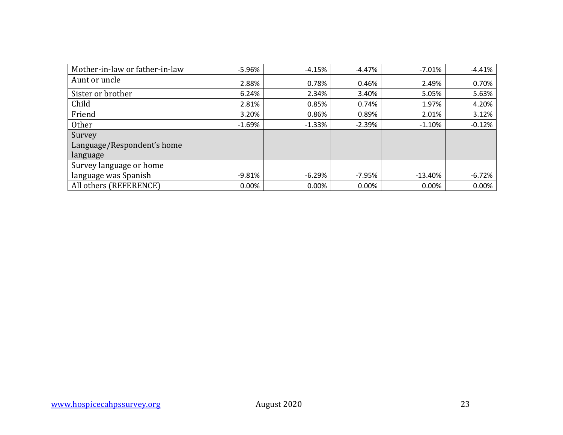| Mother-in-law or father-in-law | $-5.96%$ | $-4.15%$ | $-4.47%$ | $-7.01%$  | $-4.41%$ |
|--------------------------------|----------|----------|----------|-----------|----------|
| Aunt or uncle                  | 2.88%    | 0.78%    | 0.46%    | 2.49%     | 0.70%    |
| Sister or brother              | 6.24%    | 2.34%    | 3.40%    | 5.05%     | 5.63%    |
| Child                          | 2.81%    | 0.85%    | 0.74%    | 1.97%     | 4.20%    |
| Friend                         | 3.20%    | 0.86%    | 0.89%    | 2.01%     | 3.12%    |
| <b>Other</b>                   | $-1.69%$ | $-1.33%$ | $-2.39%$ | $-1.10%$  | $-0.12%$ |
| Survey                         |          |          |          |           |          |
| Language/Respondent's home     |          |          |          |           |          |
| language                       |          |          |          |           |          |
| Survey language or home        |          |          |          |           |          |
| language was Spanish           | $-9.81%$ | $-6.29%$ | $-7.95%$ | $-13.40%$ | $-6.72%$ |
| All others (REFERENCE)         | $0.00\%$ | 0.00%    | 0.00%    | 0.00%     | 0.00%    |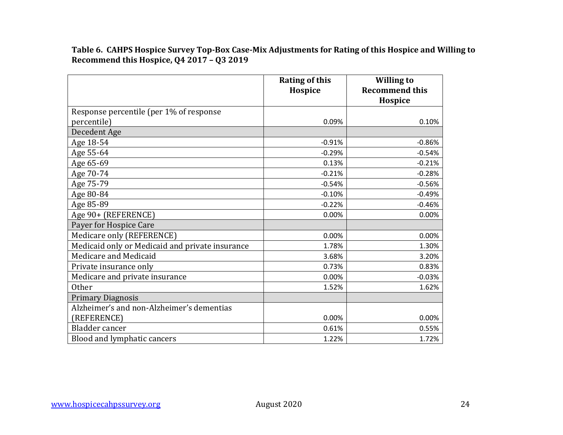**Table 6. CAHPS Hospice Survey Top-Box Case-Mix Adjustments for Rating of this Hospice and Willing to Recommend this Hospice, Q4 2017 – Q3 2019**

|                                                 | <b>Rating of this</b><br>Hospice | <b>Willing to</b><br><b>Recommend this</b><br>Hospice |
|-------------------------------------------------|----------------------------------|-------------------------------------------------------|
| Response percentile (per 1% of response         |                                  |                                                       |
| percentile)                                     | 0.09%                            | 0.10%                                                 |
| Decedent Age                                    |                                  |                                                       |
| Age 18-54                                       | $-0.91%$                         | $-0.86%$                                              |
| Age 55-64                                       | $-0.29%$                         | $-0.54%$                                              |
| Age 65-69                                       | 0.13%                            | $-0.21%$                                              |
| Age 70-74                                       | $-0.21%$                         | $-0.28%$                                              |
| Age 75-79                                       | $-0.54%$                         | $-0.56%$                                              |
| Age 80-84                                       | $-0.10%$                         | $-0.49%$                                              |
| Age 85-89                                       | $-0.22%$                         | $-0.46%$                                              |
| Age 90+ (REFERENCE)                             | 0.00%                            | 0.00%                                                 |
| Payer for Hospice Care                          |                                  |                                                       |
| Medicare only (REFERENCE)                       | 0.00%                            | 0.00%                                                 |
| Medicaid only or Medicaid and private insurance | 1.78%                            | 1.30%                                                 |
| Medicare and Medicaid                           | 3.68%                            | 3.20%                                                 |
| Private insurance only                          | 0.73%                            | 0.83%                                                 |
| Medicare and private insurance                  | 0.00%                            | $-0.03%$                                              |
| <b>Other</b>                                    | 1.52%                            | 1.62%                                                 |
| <b>Primary Diagnosis</b>                        |                                  |                                                       |
| Alzheimer's and non-Alzheimer's dementias       |                                  |                                                       |
| (REFERENCE)                                     | 0.00%                            | 0.00%                                                 |
| Bladder cancer                                  | 0.61%                            | 0.55%                                                 |
| Blood and lymphatic cancers                     | 1.22%                            | 1.72%                                                 |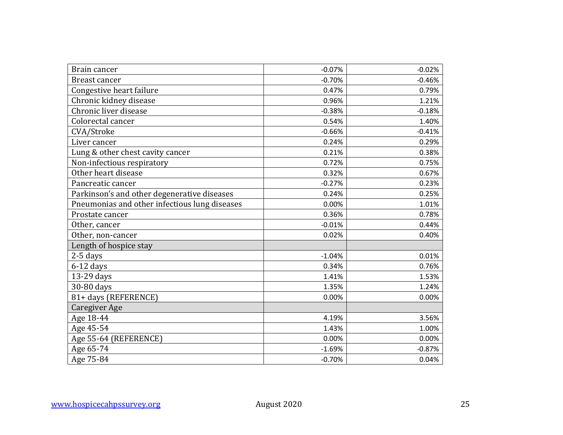| Brain cancer                                  | $-0.07%$ | $-0.02%$ |
|-----------------------------------------------|----------|----------|
| <b>Breast cancer</b>                          | $-0.70%$ | $-0.46%$ |
| Congestive heart failure                      | 0.47%    | 0.79%    |
| Chronic kidney disease                        | 0.96%    | 1.21%    |
| Chronic liver disease                         | $-0.38%$ | $-0.18%$ |
| Colorectal cancer                             | 0.54%    | 1.40%    |
| CVA/Stroke                                    | $-0.66%$ | $-0.41%$ |
| Liver cancer                                  | 0.24%    | 0.29%    |
| Lung & other chest cavity cancer              | 0.21%    | 0.38%    |
| Non-infectious respiratory                    | 0.72%    | 0.75%    |
| Other heart disease                           | 0.32%    | 0.67%    |
| Pancreatic cancer                             | $-0.27%$ | 0.23%    |
| Parkinson's and other degenerative diseases   | 0.24%    | 0.25%    |
| Pneumonias and other infectious lung diseases | 0.00%    | 1.01%    |
| Prostate cancer                               | 0.36%    | 0.78%    |
| Other, cancer                                 | $-0.01%$ | 0.44%    |
| Other, non-cancer                             | 0.02%    | 0.40%    |
| Length of hospice stay                        |          |          |
| $2-5$ days                                    | $-1.04%$ | 0.01%    |
| $6-12$ days                                   | 0.34%    | 0.76%    |
| 13-29 days                                    | 1.41%    | 1.53%    |
| 30-80 days                                    | 1.35%    | 1.24%    |
| 81+ days (REFERENCE)                          | 0.00%    | 0.00%    |
| Caregiver Age                                 |          |          |
| Age 18-44                                     | 4.19%    | 3.56%    |
| Age 45-54                                     | 1.43%    | 1.00%    |
| Age 55-64 (REFERENCE)                         | 0.00%    | 0.00%    |
| Age 65-74                                     | $-1.69%$ | $-0.87%$ |
| Age 75-84                                     | $-0.70%$ | 0.04%    |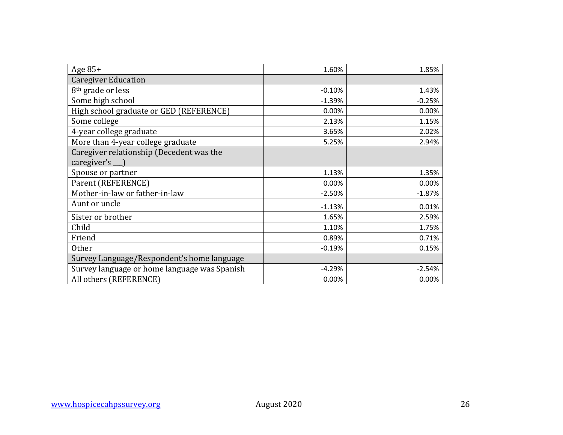| Age $85+$                                    | 1.60%    | 1.85%    |
|----------------------------------------------|----------|----------|
| <b>Caregiver Education</b>                   |          |          |
| 8 <sup>th</sup> grade or less                | $-0.10%$ | 1.43%    |
| Some high school                             | $-1.39%$ | $-0.25%$ |
| High school graduate or GED (REFERENCE)      | 0.00%    | 0.00%    |
| Some college                                 | 2.13%    | 1.15%    |
| 4-year college graduate                      | 3.65%    | 2.02%    |
| More than 4-year college graduate            | 5.25%    | 2.94%    |
| Caregiver relationship (Decedent was the     |          |          |
| $caregiver's$ <sub>__</sub> )                |          |          |
| Spouse or partner                            | 1.13%    | 1.35%    |
| Parent (REFERENCE)                           | 0.00%    | 0.00%    |
| Mother-in-law or father-in-law               | $-2.50%$ | $-1.87%$ |
| Aunt or uncle                                | $-1.13%$ | 0.01%    |
| Sister or brother                            | 1.65%    | 2.59%    |
| Child                                        | 1.10%    | 1.75%    |
| Friend                                       | 0.89%    | 0.71%    |
| <b>Other</b>                                 | $-0.19%$ | 0.15%    |
| Survey Language/Respondent's home language   |          |          |
| Survey language or home language was Spanish | $-4.29%$ | $-2.54%$ |
| All others (REFERENCE)                       | 0.00%    | 0.00%    |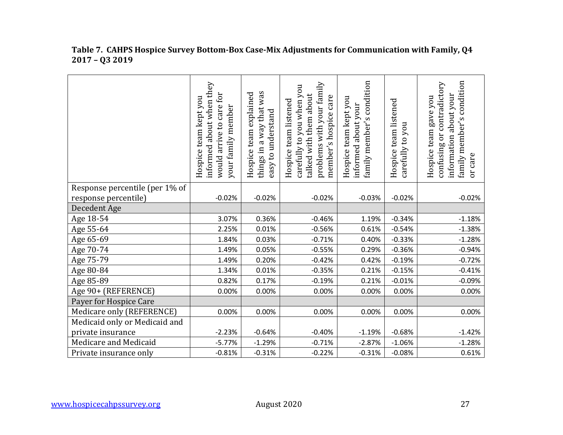|                                | informed about when they<br>would arrive to care for<br>Hospice team kept you<br>your family member | things in a way that was<br>team explained<br>easy to understand<br>Hospice | problems with your family<br>carefully to you when you<br>talked with them about<br>member's hospice care<br>Hospice team listened | family member's condition<br>Hospice team kept you<br>about your<br>informed | Hospice team listened<br>you<br>carefully to | family member's condition<br>contradictory<br>information about your<br>Hospice team gave you<br>confusing or<br>or care |
|--------------------------------|-----------------------------------------------------------------------------------------------------|-----------------------------------------------------------------------------|------------------------------------------------------------------------------------------------------------------------------------|------------------------------------------------------------------------------|----------------------------------------------|--------------------------------------------------------------------------------------------------------------------------|
| Response percentile (per 1% of |                                                                                                     |                                                                             |                                                                                                                                    |                                                                              |                                              |                                                                                                                          |
| response percentile)           | $-0.02%$                                                                                            | $-0.02%$                                                                    | $-0.02%$                                                                                                                           | $-0.03%$                                                                     | $-0.02%$                                     | $-0.02%$                                                                                                                 |
| Decedent Age                   |                                                                                                     |                                                                             |                                                                                                                                    |                                                                              |                                              |                                                                                                                          |
| Age 18-54                      | 3.07%                                                                                               | 0.36%                                                                       | $-0.46%$                                                                                                                           | 1.19%                                                                        | $-0.34%$                                     | $-1.18%$                                                                                                                 |
| Age 55-64                      | 2.25%                                                                                               | 0.01%                                                                       | $-0.56%$                                                                                                                           | 0.61%                                                                        | $-0.54%$                                     | $-1.38%$                                                                                                                 |
| Age 65-69                      | 1.84%                                                                                               | 0.03%                                                                       | $-0.71%$                                                                                                                           | 0.40%                                                                        | $-0.33%$                                     | $-1.28%$                                                                                                                 |
| Age 70-74                      | 1.49%                                                                                               | 0.05%                                                                       | $-0.55%$                                                                                                                           | 0.29%                                                                        | $-0.36%$                                     | $-0.94%$                                                                                                                 |
| Age 75-79                      | 1.49%                                                                                               | 0.20%                                                                       | $-0.42%$                                                                                                                           | 0.42%                                                                        | $-0.19%$                                     | $-0.72%$                                                                                                                 |
| Age 80-84                      | 1.34%                                                                                               | 0.01%                                                                       | $-0.35%$                                                                                                                           | 0.21%                                                                        | $-0.15%$                                     | $-0.41%$                                                                                                                 |
| Age 85-89                      | 0.82%                                                                                               | 0.17%                                                                       | $-0.19%$                                                                                                                           | 0.21%                                                                        | $-0.01%$                                     | $-0.09%$                                                                                                                 |
| Age 90+ (REFERENCE)            | 0.00%                                                                                               | 0.00%                                                                       | 0.00%                                                                                                                              | 0.00%                                                                        | 0.00%                                        | 0.00%                                                                                                                    |
| Payer for Hospice Care         |                                                                                                     |                                                                             |                                                                                                                                    |                                                                              |                                              |                                                                                                                          |
| Medicare only (REFERENCE)      | 0.00%                                                                                               | 0.00%                                                                       | 0.00%                                                                                                                              | 0.00%                                                                        | 0.00%                                        | 0.00%                                                                                                                    |
| Medicaid only or Medicaid and  |                                                                                                     |                                                                             |                                                                                                                                    |                                                                              |                                              |                                                                                                                          |
| private insurance              | $-2.23%$                                                                                            | $-0.64%$                                                                    | $-0.40%$                                                                                                                           | $-1.19%$                                                                     | $-0.68%$                                     | $-1.42%$                                                                                                                 |
| Medicare and Medicaid          | $-5.77%$                                                                                            | $-1.29%$                                                                    | $-0.71%$                                                                                                                           | $-2.87%$                                                                     | $-1.06%$                                     | $-1.28%$                                                                                                                 |
| Private insurance only         | $-0.81%$                                                                                            | $-0.31%$                                                                    | $-0.22%$                                                                                                                           | $-0.31%$                                                                     | $-0.08%$                                     | 0.61%                                                                                                                    |

#### **Table 7. CAHPS Hospice Survey Bottom-Box Case-Mix Adjustments for Communication with Family, Q4 2017 – Q3 2019**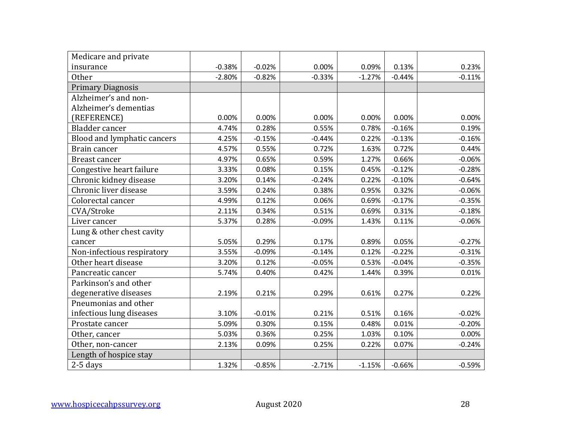| Medicare and private        |          |          |          |          |          |          |
|-----------------------------|----------|----------|----------|----------|----------|----------|
| insurance                   | $-0.38%$ | $-0.02%$ | 0.00%    | 0.09%    | 0.13%    | 0.23%    |
| <b>Other</b>                | $-2.80%$ | $-0.82%$ | $-0.33%$ | $-1.27%$ | $-0.44%$ | $-0.11%$ |
| <b>Primary Diagnosis</b>    |          |          |          |          |          |          |
| Alzheimer's and non-        |          |          |          |          |          |          |
| Alzheimer's dementias       |          |          |          |          |          |          |
| (REFERENCE)                 | 0.00%    | 0.00%    | 0.00%    | 0.00%    | 0.00%    | 0.00%    |
| Bladder cancer              | 4.74%    | 0.28%    | 0.55%    | 0.78%    | $-0.16%$ | 0.19%    |
| Blood and lymphatic cancers | 4.25%    | $-0.15%$ | $-0.44%$ | 0.22%    | $-0.13%$ | $-0.16%$ |
| Brain cancer                | 4.57%    | 0.55%    | 0.72%    | 1.63%    | 0.72%    | 0.44%    |
| <b>Breast cancer</b>        | 4.97%    | 0.65%    | 0.59%    | 1.27%    | 0.66%    | $-0.06%$ |
| Congestive heart failure    | 3.33%    | 0.08%    | 0.15%    | 0.45%    | $-0.12%$ | $-0.28%$ |
| Chronic kidney disease      | 3.20%    | 0.14%    | $-0.24%$ | 0.22%    | $-0.10%$ | $-0.64%$ |
| Chronic liver disease       | 3.59%    | 0.24%    | 0.38%    | 0.95%    | 0.32%    | $-0.06%$ |
| Colorectal cancer           | 4.99%    | 0.12%    | 0.06%    | 0.69%    | $-0.17%$ | $-0.35%$ |
| CVA/Stroke                  | 2.11%    | 0.34%    | 0.51%    | 0.69%    | 0.31%    | $-0.18%$ |
| Liver cancer                | 5.37%    | 0.28%    | $-0.09%$ | 1.43%    | 0.11%    | $-0.06%$ |
| Lung & other chest cavity   |          |          |          |          |          |          |
| cancer                      | 5.05%    | 0.29%    | 0.17%    | 0.89%    | 0.05%    | $-0.27%$ |
| Non-infectious respiratory  | 3.55%    | $-0.09%$ | $-0.14%$ | 0.12%    | $-0.22%$ | $-0.31%$ |
| Other heart disease         | 3.20%    | 0.12%    | $-0.05%$ | 0.53%    | $-0.04%$ | $-0.35%$ |
| Pancreatic cancer           | 5.74%    | 0.40%    | 0.42%    | 1.44%    | 0.39%    | 0.01%    |
| Parkinson's and other       |          |          |          |          |          |          |
| degenerative diseases       | 2.19%    | 0.21%    | 0.29%    | 0.61%    | 0.27%    | 0.22%    |
| Pneumonias and other        |          |          |          |          |          |          |
| infectious lung diseases    | 3.10%    | $-0.01%$ | 0.21%    | 0.51%    | 0.16%    | $-0.02%$ |
| Prostate cancer             | 5.09%    | 0.30%    | 0.15%    | 0.48%    | 0.01%    | $-0.20%$ |
| Other, cancer               | 5.03%    | 0.36%    | 0.25%    | 1.03%    | 0.10%    | 0.00%    |
| Other, non-cancer           | 2.13%    | 0.09%    | 0.25%    | 0.22%    | 0.07%    | $-0.24%$ |
| Length of hospice stay      |          |          |          |          |          |          |
| $2-5$ days                  | 1.32%    | $-0.85%$ | $-2.71%$ | $-1.15%$ | $-0.66%$ | $-0.59%$ |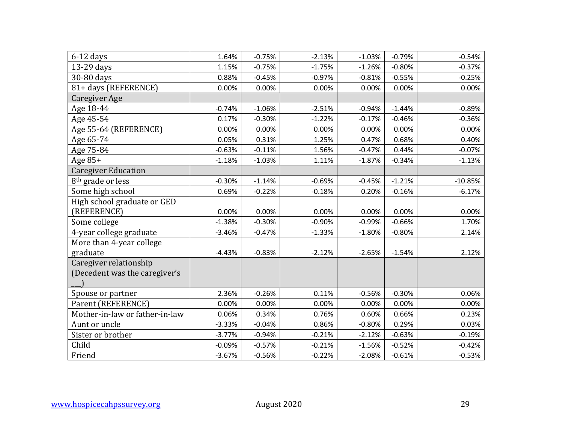| $6-12$ days                    | 1.64%    | $-0.75%$ | $-2.13%$ | $-1.03%$ | $-0.79%$ | $-0.54%$  |
|--------------------------------|----------|----------|----------|----------|----------|-----------|
| 13-29 days                     | 1.15%    | $-0.75%$ | $-1.75%$ | $-1.26%$ | $-0.80%$ | $-0.37%$  |
| 30-80 days                     | 0.88%    | $-0.45%$ | $-0.97%$ | $-0.81%$ | $-0.55%$ | $-0.25%$  |
| 81+ days (REFERENCE)           | 0.00%    | 0.00%    | 0.00%    | 0.00%    | 0.00%    | 0.00%     |
| <b>Caregiver Age</b>           |          |          |          |          |          |           |
| Age 18-44                      | $-0.74%$ | $-1.06%$ | $-2.51%$ | $-0.94%$ | $-1.44%$ | $-0.89%$  |
| Age 45-54                      | 0.17%    | $-0.30%$ | $-1.22%$ | $-0.17%$ | $-0.46%$ | $-0.36%$  |
| Age 55-64 (REFERENCE)          | 0.00%    | 0.00%    | 0.00%    | 0.00%    | 0.00%    | 0.00%     |
| Age 65-74                      | 0.05%    | 0.31%    | 1.25%    | 0.47%    | 0.68%    | 0.40%     |
| Age 75-84                      | $-0.63%$ | $-0.11%$ | 1.56%    | $-0.47%$ | 0.44%    | $-0.07%$  |
| Age 85+                        | $-1.18%$ | $-1.03%$ | 1.11%    | $-1.87%$ | $-0.34%$ | $-1.13%$  |
| <b>Caregiver Education</b>     |          |          |          |          |          |           |
| 8 <sup>th</sup> grade or less  | $-0.30%$ | $-1.14%$ | $-0.69%$ | $-0.45%$ | $-1.21%$ | $-10.85%$ |
| Some high school               | 0.69%    | $-0.22%$ | $-0.18%$ | 0.20%    | $-0.16%$ | $-6.17%$  |
| High school graduate or GED    |          |          |          |          |          |           |
| (REFERENCE)                    | 0.00%    | 0.00%    | 0.00%    | 0.00%    | 0.00%    | 0.00%     |
| Some college                   | $-1.38%$ | $-0.30%$ | $-0.90%$ | $-0.99%$ | $-0.66%$ | 1.70%     |
| 4-year college graduate        | $-3.46%$ | $-0.47%$ | $-1.33%$ | $-1.80%$ | $-0.80%$ | 2.14%     |
| More than 4-year college       |          |          |          |          |          |           |
| graduate                       | $-4.43%$ | $-0.83%$ | $-2.12%$ | $-2.65%$ | $-1.54%$ | 2.12%     |
| Caregiver relationship         |          |          |          |          |          |           |
| (Decedent was the caregiver's  |          |          |          |          |          |           |
|                                |          |          |          |          |          |           |
| Spouse or partner              | 2.36%    | $-0.26%$ | 0.11%    | $-0.56%$ | $-0.30%$ | 0.06%     |
| Parent (REFERENCE)             | 0.00%    | 0.00%    | 0.00%    | 0.00%    | 0.00%    | 0.00%     |
| Mother-in-law or father-in-law | 0.06%    | 0.34%    | 0.76%    | 0.60%    | 0.66%    | 0.23%     |
| Aunt or uncle                  | $-3.33%$ | $-0.04%$ | 0.86%    | $-0.80%$ | 0.29%    | 0.03%     |
| Sister or brother              | $-3.77%$ | $-0.94%$ | $-0.21%$ | $-2.12%$ | $-0.63%$ | $-0.19%$  |
| Child                          | $-0.09%$ | $-0.57%$ | $-0.21%$ | $-1.56%$ | $-0.52%$ | $-0.42%$  |
| Friend                         | $-3.67%$ | $-0.56%$ | $-0.22%$ | $-2.08%$ | $-0.61%$ | $-0.53%$  |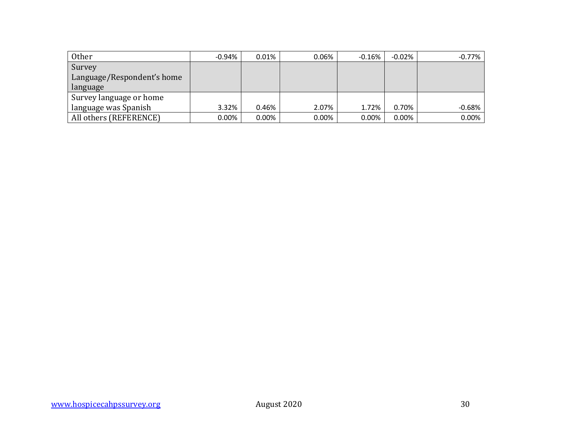| Other                      | $-0.94%$ | $0.01\%$ | 0.06% | $-0.16%$ | $-0.02%$ | $-0.77%$ |
|----------------------------|----------|----------|-------|----------|----------|----------|
| Survey                     |          |          |       |          |          |          |
| Language/Respondent's home |          |          |       |          |          |          |
| language                   |          |          |       |          |          |          |
| Survey language or home    |          |          |       |          |          |          |
| language was Spanish       | 3.32%    | 0.46%    | 2.07% | 1.72%    | 0.70%    | $-0.68%$ |
| All others (REFERENCE)     | $0.00\%$ | $0.00\%$ | 0.00% | 0.00%    | $0.00\%$ | 0.00%    |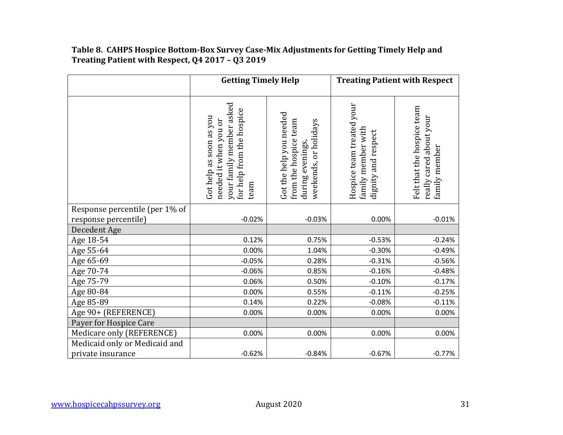#### **Table 8. CAHPS Hospice Bottom-Box Survey Case-Mix Adjustments for Getting Timely Help and Treating Patient with Respect, Q4 2017 – Q3 2019**

|                                | <b>Getting Timely Help</b>                                                                                        |                                                                                              | <b>Treating Patient with Respect</b>                                   |                                                                        |  |
|--------------------------------|-------------------------------------------------------------------------------------------------------------------|----------------------------------------------------------------------------------------------|------------------------------------------------------------------------|------------------------------------------------------------------------|--|
|                                | your family member asked<br>for help from the hospice<br>Got help as soon as you<br>needed it when you or<br>team | Got the help you needed<br>from the hospice team<br>weekends, or holidays<br>during evenings | Hospice team treated your<br>family member with<br>dignity and respect | Felt that the hospice team<br>really cared about your<br>family member |  |
| Response percentile (per 1% of |                                                                                                                   |                                                                                              |                                                                        |                                                                        |  |
| response percentile)           | $-0.02%$                                                                                                          | $-0.03%$                                                                                     | 0.00%                                                                  | $-0.01%$                                                               |  |
| Decedent Age                   |                                                                                                                   |                                                                                              |                                                                        |                                                                        |  |
| Age 18-54                      | 0.12%                                                                                                             | 0.75%                                                                                        | $-0.53%$                                                               | $-0.24%$                                                               |  |
| Age 55-64                      | 0.00%                                                                                                             | 1.04%                                                                                        | $-0.30%$                                                               | $-0.49%$                                                               |  |
| Age 65-69                      | $-0.05%$                                                                                                          | 0.28%                                                                                        | $-0.31%$                                                               | $-0.56%$                                                               |  |
| Age 70-74                      | $-0.06%$                                                                                                          | 0.85%                                                                                        | $-0.16%$                                                               | $-0.48%$                                                               |  |
| Age 75-79                      | 0.06%                                                                                                             | 0.50%                                                                                        | $-0.10%$                                                               | $-0.17%$                                                               |  |
| Age 80-84                      | 0.00%                                                                                                             | 0.55%                                                                                        | $-0.11%$                                                               | $-0.25%$                                                               |  |
| Age 85-89                      | 0.14%                                                                                                             | 0.22%                                                                                        | $-0.08%$                                                               | $-0.11%$                                                               |  |
| Age 90+ (REFERENCE)            | 0.00%                                                                                                             | 0.00%                                                                                        | 0.00%                                                                  | 0.00%                                                                  |  |
| Payer for Hospice Care         |                                                                                                                   |                                                                                              |                                                                        |                                                                        |  |
| Medicare only (REFERENCE)      | 0.00%                                                                                                             | 0.00%                                                                                        | 0.00%                                                                  | 0.00%                                                                  |  |
| Medicaid only or Medicaid and  |                                                                                                                   |                                                                                              |                                                                        |                                                                        |  |
| private insurance              | $-0.62%$                                                                                                          | $-0.84%$                                                                                     | $-0.67%$                                                               | $-0.77%$                                                               |  |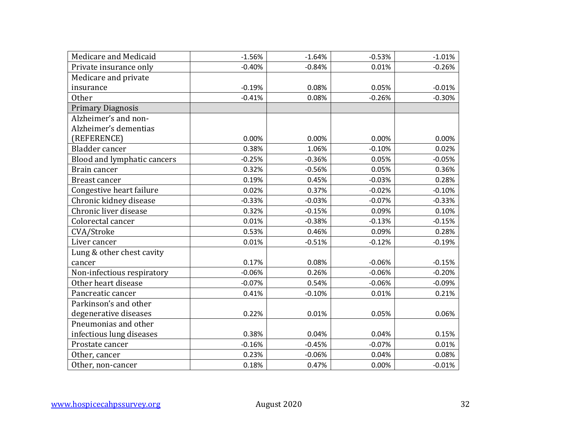| Medicare and Medicaid       | $-1.56%$ | $-1.64%$ | $-0.53%$ | $-1.01%$ |
|-----------------------------|----------|----------|----------|----------|
| Private insurance only      | $-0.40%$ | $-0.84%$ | 0.01%    | $-0.26%$ |
| Medicare and private        |          |          |          |          |
| insurance                   | $-0.19%$ | 0.08%    | 0.05%    | $-0.01%$ |
| <b>Other</b>                | $-0.41%$ | 0.08%    | $-0.26%$ | $-0.30%$ |
| <b>Primary Diagnosis</b>    |          |          |          |          |
| Alzheimer's and non-        |          |          |          |          |
| Alzheimer's dementias       |          |          |          |          |
| (REFERENCE)                 | 0.00%    | 0.00%    | 0.00%    | 0.00%    |
| Bladder cancer              | 0.38%    | 1.06%    | $-0.10%$ | 0.02%    |
| Blood and lymphatic cancers | $-0.25%$ | $-0.36%$ | 0.05%    | $-0.05%$ |
| Brain cancer                | 0.32%    | $-0.56%$ | 0.05%    | 0.36%    |
| <b>Breast cancer</b>        | 0.19%    | 0.45%    | $-0.03%$ | 0.28%    |
| Congestive heart failure    | 0.02%    | 0.37%    | $-0.02%$ | $-0.10%$ |
| Chronic kidney disease      | $-0.33%$ | $-0.03%$ | $-0.07%$ | $-0.33%$ |
| Chronic liver disease       | 0.32%    | $-0.15%$ | 0.09%    | 0.10%    |
| Colorectal cancer           | 0.01%    | $-0.38%$ | $-0.13%$ | $-0.15%$ |
| CVA/Stroke                  | 0.53%    | 0.46%    | 0.09%    | 0.28%    |
| Liver cancer                | 0.01%    | $-0.51%$ | $-0.12%$ | $-0.19%$ |
| Lung & other chest cavity   |          |          |          |          |
| cancer                      | 0.17%    | 0.08%    | $-0.06%$ | $-0.15%$ |
| Non-infectious respiratory  | $-0.06%$ | 0.26%    | $-0.06%$ | $-0.20%$ |
| Other heart disease         | $-0.07%$ | 0.54%    | $-0.06%$ | $-0.09%$ |
| Pancreatic cancer           | 0.41%    | $-0.10%$ | 0.01%    | 0.21%    |
| Parkinson's and other       |          |          |          |          |
| degenerative diseases       | 0.22%    | 0.01%    | 0.05%    | 0.06%    |
| Pneumonias and other        |          |          |          |          |
| infectious lung diseases    | 0.38%    | 0.04%    | 0.04%    | 0.15%    |
| Prostate cancer             | $-0.16%$ | $-0.45%$ | $-0.07%$ | 0.01%    |
| Other, cancer               | 0.23%    | $-0.06%$ | 0.04%    | 0.08%    |
| Other, non-cancer           | 0.18%    | 0.47%    | 0.00%    | $-0.01%$ |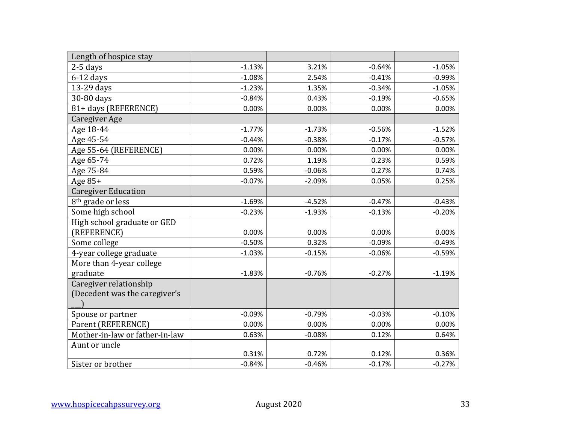| Length of hospice stay         |          |          |          |          |
|--------------------------------|----------|----------|----------|----------|
| $2-5$ days                     | $-1.13%$ | 3.21%    | $-0.64%$ | $-1.05%$ |
| $6-12$ days                    | $-1.08%$ | 2.54%    | $-0.41%$ | $-0.99%$ |
| 13-29 days                     | $-1.23%$ | 1.35%    | $-0.34%$ | $-1.05%$ |
| 30-80 days                     | $-0.84%$ | 0.43%    | $-0.19%$ | $-0.65%$ |
| 81+ days (REFERENCE)           | 0.00%    | 0.00%    | 0.00%    | 0.00%    |
| Caregiver Age                  |          |          |          |          |
| Age 18-44                      | $-1.77%$ | $-1.73%$ | $-0.56%$ | $-1.52%$ |
| Age 45-54                      | $-0.44%$ | $-0.38%$ | $-0.17%$ | $-0.57%$ |
| Age 55-64 (REFERENCE)          | 0.00%    | 0.00%    | 0.00%    | 0.00%    |
| Age 65-74                      | 0.72%    | 1.19%    | 0.23%    | 0.59%    |
| Age 75-84                      | 0.59%    | $-0.06%$ | 0.27%    | 0.74%    |
| Age 85+                        | $-0.07%$ | $-2.09%$ | 0.05%    | 0.25%    |
| <b>Caregiver Education</b>     |          |          |          |          |
| 8 <sup>th</sup> grade or less  | $-1.69%$ | $-4.52%$ | $-0.47%$ | $-0.43%$ |
| Some high school               | $-0.23%$ | $-1.93%$ | $-0.13%$ | $-0.20%$ |
| High school graduate or GED    |          |          |          |          |
| (REFERENCE)                    | 0.00%    | 0.00%    | 0.00%    | 0.00%    |
| Some college                   | $-0.50%$ | 0.32%    | $-0.09%$ | $-0.49%$ |
| 4-year college graduate        | $-1.03%$ | $-0.15%$ | $-0.06%$ | $-0.59%$ |
| More than 4-year college       |          |          |          |          |
| graduate                       | $-1.83%$ | $-0.76%$ | $-0.27%$ | $-1.19%$ |
| Caregiver relationship         |          |          |          |          |
| (Decedent was the caregiver's  |          |          |          |          |
|                                |          |          |          |          |
| Spouse or partner              | $-0.09%$ | $-0.79%$ | $-0.03%$ | $-0.10%$ |
| Parent (REFERENCE)             | 0.00%    | 0.00%    | 0.00%    | 0.00%    |
| Mother-in-law or father-in-law | 0.63%    | $-0.08%$ | 0.12%    | 0.64%    |
| Aunt or uncle                  |          |          |          |          |
|                                | 0.31%    | 0.72%    | 0.12%    | 0.36%    |
| Sister or brother              | $-0.84%$ | $-0.46%$ | $-0.17%$ | $-0.27%$ |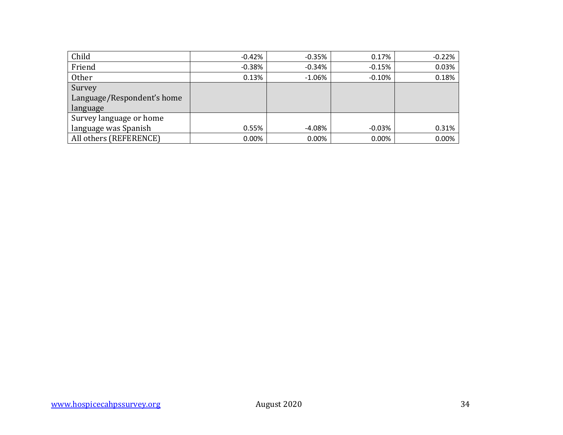| Child                      | $-0.42%$  | $-0.35%$ | 0.17%    | $-0.22%$ |
|----------------------------|-----------|----------|----------|----------|
| Friend                     | $-0.38\%$ | $-0.34%$ | $-0.15%$ | 0.03%    |
| <b>Other</b>               | 0.13%     | $-1.06%$ | $-0.10%$ | 0.18%    |
| Survey                     |           |          |          |          |
| Language/Respondent's home |           |          |          |          |
| language                   |           |          |          |          |
| Survey language or home    |           |          |          |          |
| language was Spanish       | 0.55%     | -4.08%   | $-0.03%$ | 0.31%    |
| All others (REFERENCE)     | $0.00\%$  | 0.00%    | 0.00%    | 0.00%    |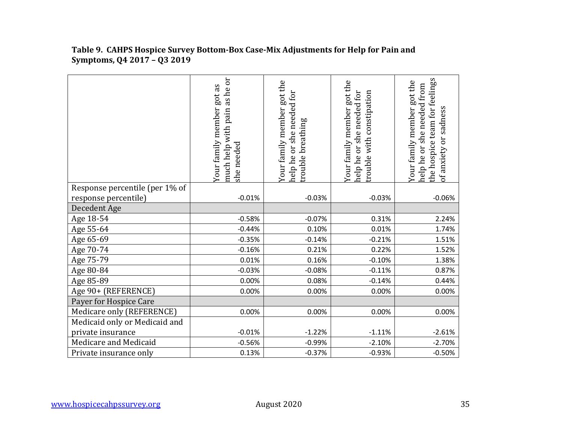|                                | ör<br>Your family member got as<br>as he<br>pain<br>much help with<br>she needed | Your family member got the<br>or she needed for<br>trouble breathing<br>help he | Your family member got the<br>help he or she needed for<br>rouble with constipation | the hospice team for feelings<br>Your family member got the<br>help he or she needed from<br>of anxiety or sadness |
|--------------------------------|----------------------------------------------------------------------------------|---------------------------------------------------------------------------------|-------------------------------------------------------------------------------------|--------------------------------------------------------------------------------------------------------------------|
| Response percentile (per 1% of |                                                                                  |                                                                                 |                                                                                     |                                                                                                                    |
| response percentile)           | $-0.01%$                                                                         | $-0.03%$                                                                        | $-0.03%$                                                                            | $-0.06%$                                                                                                           |
| Decedent Age                   |                                                                                  |                                                                                 |                                                                                     |                                                                                                                    |
| Age 18-54                      | $-0.58%$                                                                         | $-0.07%$                                                                        | 0.31%                                                                               | 2.24%                                                                                                              |
| Age 55-64                      | $-0.44%$                                                                         | 0.10%                                                                           | 0.01%                                                                               | 1.74%                                                                                                              |
| Age 65-69                      | $-0.35%$                                                                         | $-0.14%$                                                                        | $-0.21%$                                                                            | 1.51%                                                                                                              |
| Age 70-74                      | $-0.16%$                                                                         | 0.21%                                                                           | 0.22%                                                                               | 1.52%                                                                                                              |
| Age 75-79                      | 0.01%                                                                            | 0.16%                                                                           | $-0.10%$                                                                            | 1.38%                                                                                                              |
| Age 80-84                      | $-0.03%$                                                                         | $-0.08%$                                                                        | $-0.11%$                                                                            | 0.87%                                                                                                              |
| Age 85-89                      | 0.00%                                                                            | 0.08%                                                                           | $-0.14%$                                                                            | 0.44%                                                                                                              |
| Age 90+ (REFERENCE)            | 0.00%                                                                            | 0.00%                                                                           | 0.00%                                                                               | 0.00%                                                                                                              |
| Payer for Hospice Care         |                                                                                  |                                                                                 |                                                                                     |                                                                                                                    |
| Medicare only (REFERENCE)      | 0.00%                                                                            | 0.00%                                                                           | 0.00%                                                                               | 0.00%                                                                                                              |
| Medicaid only or Medicaid and  |                                                                                  |                                                                                 |                                                                                     |                                                                                                                    |
| private insurance              | $-0.01%$                                                                         | $-1.22%$                                                                        | $-1.11%$                                                                            | $-2.61%$                                                                                                           |
| Medicare and Medicaid          | $-0.56%$                                                                         | $-0.99%$                                                                        | $-2.10%$                                                                            | $-2.70%$                                                                                                           |
| Private insurance only         | 0.13%                                                                            | $-0.37%$                                                                        | $-0.93%$                                                                            | $-0.50%$                                                                                                           |

#### **Table 9. CAHPS Hospice Survey Bottom-Box Case-Mix Adjustments for Help for Pain and Symptoms, Q4 2017 – Q3 2019**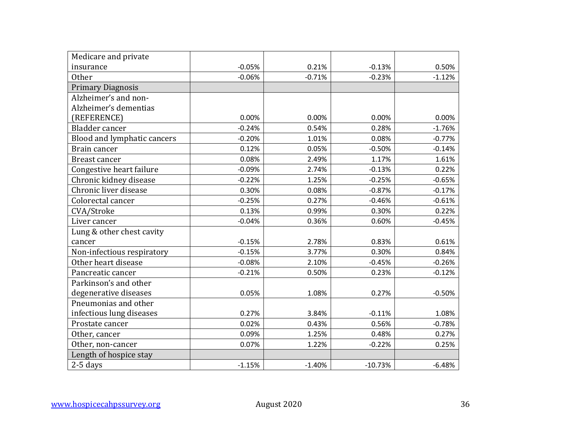| Medicare and private        |          |          |           |          |
|-----------------------------|----------|----------|-----------|----------|
| insurance                   | $-0.05%$ | 0.21%    | $-0.13%$  | 0.50%    |
| <b>Other</b>                | $-0.06%$ | $-0.71%$ | $-0.23%$  | $-1.12%$ |
| <b>Primary Diagnosis</b>    |          |          |           |          |
| Alzheimer's and non-        |          |          |           |          |
| Alzheimer's dementias       |          |          |           |          |
| (REFERENCE)                 | 0.00%    | 0.00%    | 0.00%     | 0.00%    |
| Bladder cancer              | $-0.24%$ | 0.54%    | 0.28%     | $-1.76%$ |
| Blood and lymphatic cancers | $-0.20%$ | 1.01%    | 0.08%     | $-0.77%$ |
| Brain cancer                | 0.12%    | 0.05%    | $-0.50%$  | $-0.14%$ |
| <b>Breast cancer</b>        | 0.08%    | 2.49%    | 1.17%     | 1.61%    |
| Congestive heart failure    | $-0.09%$ | 2.74%    | $-0.13%$  | 0.22%    |
| Chronic kidney disease      | $-0.22%$ | 1.25%    | $-0.25%$  | $-0.65%$ |
| Chronic liver disease       | 0.30%    | 0.08%    | $-0.87%$  | $-0.17%$ |
| Colorectal cancer           | $-0.25%$ | 0.27%    | $-0.46%$  | $-0.61%$ |
| CVA/Stroke                  | 0.13%    | 0.99%    | 0.30%     | 0.22%    |
| Liver cancer                | $-0.04%$ | 0.36%    | 0.60%     | $-0.45%$ |
| Lung & other chest cavity   |          |          |           |          |
| cancer                      | $-0.15%$ | 2.78%    | 0.83%     | 0.61%    |
| Non-infectious respiratory  | $-0.15%$ | 3.77%    | 0.30%     | 0.84%    |
| Other heart disease         | $-0.08%$ | 2.10%    | $-0.45%$  | $-0.26%$ |
| Pancreatic cancer           | $-0.21%$ | 0.50%    | 0.23%     | $-0.12%$ |
| Parkinson's and other       |          |          |           |          |
| degenerative diseases       | 0.05%    | 1.08%    | 0.27%     | $-0.50%$ |
| Pneumonias and other        |          |          |           |          |
| infectious lung diseases    | 0.27%    | 3.84%    | $-0.11%$  | 1.08%    |
| Prostate cancer             | 0.02%    | 0.43%    | 0.56%     | $-0.78%$ |
| Other, cancer               | 0.09%    | 1.25%    | 0.48%     | 0.27%    |
| Other, non-cancer           | 0.07%    | 1.22%    | $-0.22%$  | 0.25%    |
| Length of hospice stay      |          |          |           |          |
| $2-5$ days                  | $-1.15%$ | $-1.40%$ | $-10.73%$ | $-6.48%$ |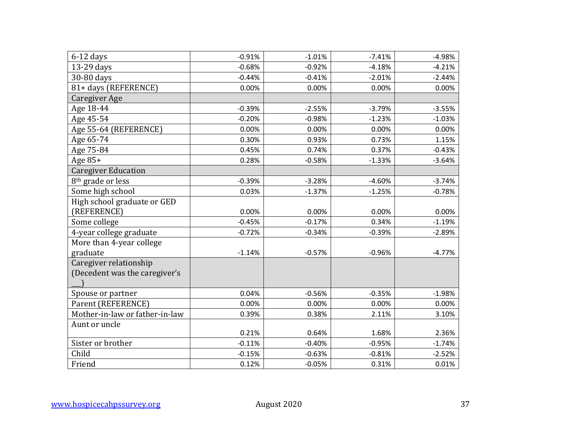| $6-12$ days                    | $-0.91%$ | $-1.01%$ | $-7.41%$ | $-4.98%$ |
|--------------------------------|----------|----------|----------|----------|
| 13-29 days                     | $-0.68%$ | $-0.92%$ | $-4.18%$ | $-4.21%$ |
| 30-80 days                     | $-0.44%$ | $-0.41%$ | $-2.01%$ | $-2.44%$ |
| 81+ days (REFERENCE)           | 0.00%    | 0.00%    | 0.00%    | 0.00%    |
| Caregiver Age                  |          |          |          |          |
| Age 18-44                      | $-0.39%$ | $-2.55%$ | $-3.79%$ | $-3.55%$ |
| Age 45-54                      | $-0.20%$ | $-0.98%$ | $-1.23%$ | $-1.03%$ |
| Age 55-64 (REFERENCE)          | 0.00%    | 0.00%    | 0.00%    | 0.00%    |
| Age 65-74                      | 0.30%    | 0.93%    | 0.73%    | 1.15%    |
| Age 75-84                      | 0.45%    | 0.74%    | 0.37%    | $-0.43%$ |
| Age 85+                        | 0.28%    | $-0.58%$ | $-1.33%$ | $-3.64%$ |
| <b>Caregiver Education</b>     |          |          |          |          |
| 8 <sup>th</sup> grade or less  | $-0.39%$ | $-3.28%$ | $-4.60%$ | $-3.74%$ |
| Some high school               | 0.03%    | $-1.37%$ | $-1.25%$ | $-0.78%$ |
| High school graduate or GED    |          |          |          |          |
| (REFERENCE)                    | 0.00%    | 0.00%    | 0.00%    | 0.00%    |
| Some college                   | $-0.45%$ | $-0.17%$ | 0.34%    | $-1.19%$ |
| 4-year college graduate        | $-0.72%$ | $-0.34%$ | $-0.39%$ | $-2.89%$ |
| More than 4-year college       |          |          |          |          |
| graduate                       | $-1.14%$ | $-0.57%$ | $-0.96%$ | $-4.77%$ |
| Caregiver relationship         |          |          |          |          |
| (Decedent was the caregiver's  |          |          |          |          |
|                                |          |          |          |          |
| Spouse or partner              | 0.04%    | $-0.56%$ | $-0.35%$ | $-1.98%$ |
| Parent (REFERENCE)             | 0.00%    | 0.00%    | 0.00%    | 0.00%    |
| Mother-in-law or father-in-law | 0.39%    | 0.38%    | 2.11%    | 3.10%    |
| Aunt or uncle                  |          |          |          |          |
|                                | 0.21%    | 0.64%    | 1.68%    | 2.36%    |
| Sister or brother              | $-0.11%$ | $-0.40%$ | $-0.95%$ | $-1.74%$ |
| Child                          | $-0.15%$ | $-0.63%$ | $-0.81%$ | $-2.52%$ |
| Friend                         | 0.12%    | $-0.05%$ | 0.31%    | 0.01%    |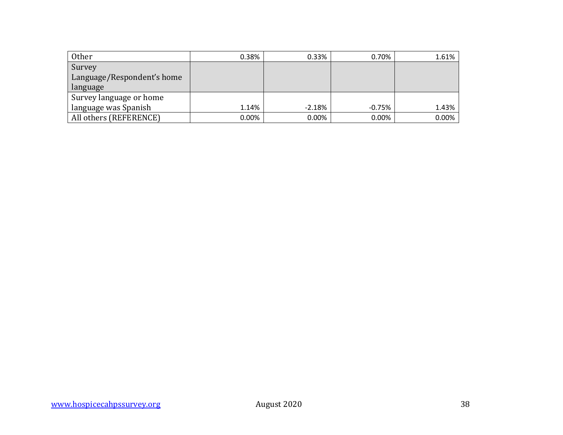| <b>Other</b>               | 0.38%    | 0.33%    | 0.70%    | 1.61% |
|----------------------------|----------|----------|----------|-------|
| Survey                     |          |          |          |       |
| Language/Respondent's home |          |          |          |       |
| language                   |          |          |          |       |
| Survey language or home    |          |          |          |       |
| language was Spanish       | 1.14%    | $-2.18%$ | $-0.75%$ | 1.43% |
| All others (REFERENCE)     | $0.00\%$ | $0.00\%$ | 0.00%    | 0.00% |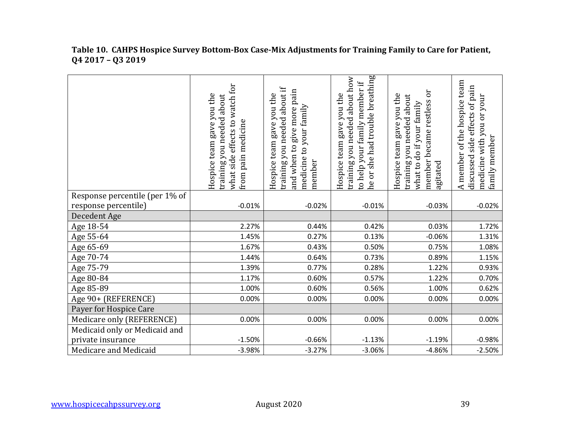|                                | watch for<br>Hospice team gave you the<br>training you needed about<br>what side effects to<br>from pain medicine | training you needed about if<br>give more pain<br>Hospice team gave you the<br>medicine to your family<br>and when to<br>member | he or she had trouble breathing<br>training you needed about how<br>to help your family member if<br>Hospice team gave you the | Эr<br>Hospice team gave you the<br>training you needed about<br>member became restless<br>what to do if your family<br>agitated | A member of the hospice team<br>discussed side effects of pain<br>medicine with you or your<br>family member |
|--------------------------------|-------------------------------------------------------------------------------------------------------------------|---------------------------------------------------------------------------------------------------------------------------------|--------------------------------------------------------------------------------------------------------------------------------|---------------------------------------------------------------------------------------------------------------------------------|--------------------------------------------------------------------------------------------------------------|
| Response percentile (per 1% of |                                                                                                                   |                                                                                                                                 |                                                                                                                                |                                                                                                                                 |                                                                                                              |
| response percentile)           | $-0.01%$                                                                                                          | $-0.02%$                                                                                                                        | $-0.01%$                                                                                                                       | $-0.03%$                                                                                                                        | $-0.02%$                                                                                                     |
| Decedent Age                   |                                                                                                                   |                                                                                                                                 |                                                                                                                                |                                                                                                                                 |                                                                                                              |
| Age 18-54                      | 2.27%                                                                                                             | 0.44%                                                                                                                           | 0.42%                                                                                                                          | 0.03%                                                                                                                           | 1.72%                                                                                                        |
| Age 55-64                      | 1.45%                                                                                                             | 0.27%                                                                                                                           | 0.13%                                                                                                                          | $-0.06%$                                                                                                                        | 1.31%                                                                                                        |
| Age 65-69                      | 1.67%                                                                                                             | 0.43%                                                                                                                           | 0.50%                                                                                                                          | 0.75%                                                                                                                           | 1.08%                                                                                                        |
| Age 70-74                      | 1.44%                                                                                                             | 0.64%                                                                                                                           | 0.73%                                                                                                                          | 0.89%                                                                                                                           | 1.15%                                                                                                        |
| Age 75-79                      | 1.39%                                                                                                             | 0.77%                                                                                                                           | 0.28%                                                                                                                          | 1.22%                                                                                                                           | 0.93%                                                                                                        |
| Age 80-84                      | 1.17%                                                                                                             | 0.60%                                                                                                                           | 0.57%                                                                                                                          | 1.22%                                                                                                                           | 0.70%                                                                                                        |
| Age 85-89                      | 1.00%                                                                                                             | 0.60%                                                                                                                           | 0.56%                                                                                                                          | 1.00%                                                                                                                           | 0.62%                                                                                                        |
| Age 90+ (REFERENCE)            | 0.00%                                                                                                             | 0.00%                                                                                                                           | 0.00%                                                                                                                          | 0.00%                                                                                                                           | 0.00%                                                                                                        |
| Payer for Hospice Care         |                                                                                                                   |                                                                                                                                 |                                                                                                                                |                                                                                                                                 |                                                                                                              |
| Medicare only (REFERENCE)      | 0.00%                                                                                                             | 0.00%                                                                                                                           | 0.00%                                                                                                                          | 0.00%                                                                                                                           | 0.00%                                                                                                        |
| Medicaid only or Medicaid and  |                                                                                                                   |                                                                                                                                 |                                                                                                                                |                                                                                                                                 |                                                                                                              |
| private insurance              | $-1.50%$                                                                                                          | $-0.66%$                                                                                                                        | $-1.13%$                                                                                                                       | $-1.19%$                                                                                                                        | $-0.98%$                                                                                                     |
| Medicare and Medicaid          | $-3.98%$                                                                                                          | $-3.27%$                                                                                                                        | $-3.06%$                                                                                                                       | $-4.86%$                                                                                                                        | $-2.50%$                                                                                                     |

#### **Table 10. CAHPS Hospice Survey Bottom-Box Case-Mix Adjustments for Training Family to Care for Patient, Q4 2017 – Q3 2019**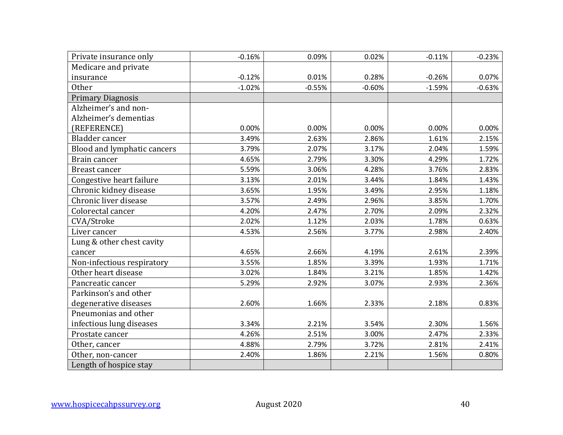| Private insurance only      | $-0.16%$ | 0.09%    | 0.02%    | $-0.11%$ | $-0.23%$ |
|-----------------------------|----------|----------|----------|----------|----------|
| Medicare and private        |          |          |          |          |          |
| insurance                   | $-0.12%$ | 0.01%    | 0.28%    | $-0.26%$ | 0.07%    |
| <b>Other</b>                | $-1.02%$ | $-0.55%$ | $-0.60%$ | $-1.59%$ | $-0.63%$ |
| <b>Primary Diagnosis</b>    |          |          |          |          |          |
| Alzheimer's and non-        |          |          |          |          |          |
| Alzheimer's dementias       |          |          |          |          |          |
| (REFERENCE)                 | 0.00%    | 0.00%    | 0.00%    | 0.00%    | 0.00%    |
| Bladder cancer              | 3.49%    | 2.63%    | 2.86%    | 1.61%    | 2.15%    |
| Blood and lymphatic cancers | 3.79%    | 2.07%    | 3.17%    | 2.04%    | 1.59%    |
| Brain cancer                | 4.65%    | 2.79%    | 3.30%    | 4.29%    | 1.72%    |
| <b>Breast cancer</b>        | 5.59%    | 3.06%    | 4.28%    | 3.76%    | 2.83%    |
| Congestive heart failure    | 3.13%    | 2.01%    | 3.44%    | 1.84%    | 1.43%    |
| Chronic kidney disease      | 3.65%    | 1.95%    | 3.49%    | 2.95%    | 1.18%    |
| Chronic liver disease       | 3.57%    | 2.49%    | 2.96%    | 3.85%    | 1.70%    |
| Colorectal cancer           | 4.20%    | 2.47%    | 2.70%    | 2.09%    | 2.32%    |
| CVA/Stroke                  | 2.02%    | 1.12%    | 2.03%    | 1.78%    | 0.63%    |
| Liver cancer                | 4.53%    | 2.56%    | 3.77%    | 2.98%    | 2.40%    |
| Lung & other chest cavity   |          |          |          |          |          |
| cancer                      | 4.65%    | 2.66%    | 4.19%    | 2.61%    | 2.39%    |
| Non-infectious respiratory  | 3.55%    | 1.85%    | 3.39%    | 1.93%    | 1.71%    |
| Other heart disease         | 3.02%    | 1.84%    | 3.21%    | 1.85%    | 1.42%    |
| Pancreatic cancer           | 5.29%    | 2.92%    | 3.07%    | 2.93%    | 2.36%    |
| Parkinson's and other       |          |          |          |          |          |
| degenerative diseases       | 2.60%    | 1.66%    | 2.33%    | 2.18%    | 0.83%    |
| Pneumonias and other        |          |          |          |          |          |
| infectious lung diseases    | 3.34%    | 2.21%    | 3.54%    | 2.30%    | 1.56%    |
| Prostate cancer             | 4.26%    | 2.51%    | 3.00%    | 2.47%    | 2.33%    |
| Other, cancer               | 4.88%    | 2.79%    | 3.72%    | 2.81%    | 2.41%    |
| Other, non-cancer           | 2.40%    | 1.86%    | 2.21%    | 1.56%    | 0.80%    |
| Length of hospice stay      |          |          |          |          |          |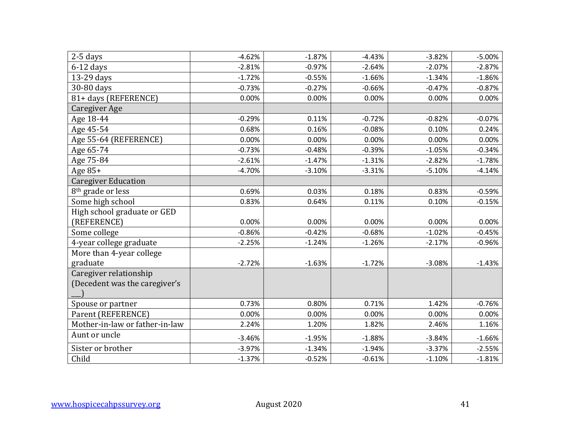| $2-5$ days                     | $-4.62%$ | $-1.87%$ | $-4.43%$ | $-3.82%$ | $-5.00%$ |
|--------------------------------|----------|----------|----------|----------|----------|
| $6-12$ days                    | $-2.81%$ | $-0.97%$ | $-2.64%$ | $-2.07%$ | $-2.87%$ |
| 13-29 days                     | $-1.72%$ | $-0.55%$ | $-1.66%$ | $-1.34%$ | $-1.86%$ |
| 30-80 days                     | $-0.73%$ | $-0.27%$ | $-0.66%$ | $-0.47%$ | $-0.87%$ |
| 81+ days (REFERENCE)           | 0.00%    | 0.00%    | 0.00%    | 0.00%    | 0.00%    |
| Caregiver Age                  |          |          |          |          |          |
| Age 18-44                      | $-0.29%$ | 0.11%    | $-0.72%$ | $-0.82%$ | $-0.07%$ |
| Age 45-54                      | 0.68%    | 0.16%    | $-0.08%$ | 0.10%    | 0.24%    |
| Age 55-64 (REFERENCE)          | 0.00%    | 0.00%    | 0.00%    | 0.00%    | 0.00%    |
| Age 65-74                      | $-0.73%$ | $-0.48%$ | $-0.39%$ | $-1.05%$ | $-0.34%$ |
| Age 75-84                      | $-2.61%$ | $-1.47%$ | $-1.31%$ | $-2.82%$ | $-1.78%$ |
| Age 85+                        | $-4.70%$ | $-3.10%$ | $-3.31%$ | $-5.10%$ | $-4.14%$ |
| <b>Caregiver Education</b>     |          |          |          |          |          |
| 8 <sup>th</sup> grade or less  | 0.69%    | 0.03%    | 0.18%    | 0.83%    | $-0.59%$ |
| Some high school               | 0.83%    | 0.64%    | 0.11%    | 0.10%    | $-0.15%$ |
| High school graduate or GED    |          |          |          |          |          |
| (REFERENCE)                    | 0.00%    | 0.00%    | 0.00%    | 0.00%    | 0.00%    |
| Some college                   | $-0.86%$ | $-0.42%$ | $-0.68%$ | $-1.02%$ | $-0.45%$ |
| 4-year college graduate        | $-2.25%$ | $-1.24%$ | $-1.26%$ | $-2.17%$ | $-0.96%$ |
| More than 4-year college       |          |          |          |          |          |
| graduate                       | $-2.72%$ | $-1.63%$ | $-1.72%$ | $-3.08%$ | $-1.43%$ |
| Caregiver relationship         |          |          |          |          |          |
| (Decedent was the caregiver's  |          |          |          |          |          |
|                                |          |          |          |          |          |
| Spouse or partner              | 0.73%    | 0.80%    | 0.71%    | 1.42%    | $-0.76%$ |
| Parent (REFERENCE)             | 0.00%    | 0.00%    | 0.00%    | 0.00%    | 0.00%    |
| Mother-in-law or father-in-law | 2.24%    | 1.20%    | 1.82%    | 2.46%    | 1.16%    |
| Aunt or uncle                  | $-3.46%$ | $-1.95%$ | $-1.88%$ | $-3.84%$ | $-1.66%$ |
| Sister or brother              | $-3.97%$ | $-1.34%$ | $-1.94%$ | $-3.37%$ | $-2.55%$ |
| Child                          | $-1.37%$ | $-0.52%$ | $-0.61%$ | $-1.10%$ | $-1.81%$ |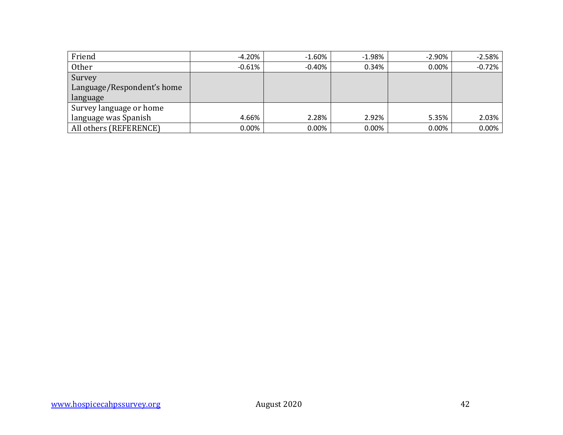| Friend                     | $-4.20%$  | $-1.60%$  | $-1.98%$ | -2.90% | $-2.58%$ |
|----------------------------|-----------|-----------|----------|--------|----------|
| Other                      | $-0.61\%$ | $-0.40\%$ | 0.34%    | 0.00%  | $-0.72%$ |
| Survey                     |           |           |          |        |          |
| Language/Respondent's home |           |           |          |        |          |
| language                   |           |           |          |        |          |
| Survey language or home    |           |           |          |        |          |
| language was Spanish       | 4.66%     | 2.28%     | 2.92%    | 5.35%  | 2.03%    |
| All others (REFERENCE)     | 0.00%     | 0.00%     | 0.00%    | 0.00%  | $0.00\%$ |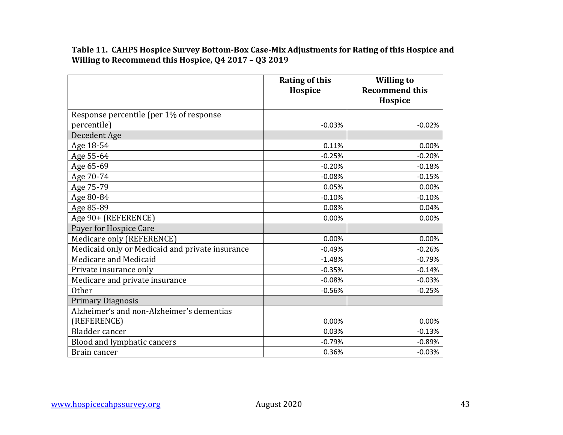**Table 11. CAHPS Hospice Survey Bottom-Box Case-Mix Adjustments for Rating of this Hospice and Willing to Recommend this Hospice, Q4 2017 – Q3 2019**

|                                                 | <b>Rating of this</b><br>Hospice | <b>Willing to</b><br><b>Recommend this</b> |
|-------------------------------------------------|----------------------------------|--------------------------------------------|
|                                                 |                                  | Hospice                                    |
| Response percentile (per 1% of response         |                                  |                                            |
| percentile)                                     | $-0.03%$                         | $-0.02%$                                   |
| Decedent Age                                    |                                  |                                            |
| Age 18-54                                       | 0.11%                            | 0.00%                                      |
| Age 55-64                                       | $-0.25%$                         | $-0.20%$                                   |
| Age 65-69                                       | $-0.20%$                         | $-0.18%$                                   |
| Age 70-74                                       | $-0.08%$                         | $-0.15%$                                   |
| Age 75-79                                       | 0.05%                            | 0.00%                                      |
| Age 80-84                                       | $-0.10%$                         | $-0.10%$                                   |
| Age 85-89                                       | 0.08%                            | 0.04%                                      |
| Age 90+ (REFERENCE)                             | 0.00%                            | 0.00%                                      |
| Payer for Hospice Care                          |                                  |                                            |
| Medicare only (REFERENCE)                       | 0.00%                            | 0.00%                                      |
| Medicaid only or Medicaid and private insurance | $-0.49%$                         | $-0.26%$                                   |
| Medicare and Medicaid                           | $-1.48%$                         | $-0.79%$                                   |
| Private insurance only                          | $-0.35%$                         | $-0.14%$                                   |
| Medicare and private insurance                  | $-0.08%$                         | $-0.03%$                                   |
| <b>Other</b>                                    | $-0.56%$                         | $-0.25%$                                   |
| <b>Primary Diagnosis</b>                        |                                  |                                            |
| Alzheimer's and non-Alzheimer's dementias       |                                  |                                            |
| (REFERENCE)                                     | 0.00%                            | 0.00%                                      |
| <b>Bladder</b> cancer                           | 0.03%                            | $-0.13%$                                   |
| Blood and lymphatic cancers                     | $-0.79%$                         | $-0.89%$                                   |
| Brain cancer                                    | 0.36%                            | $-0.03%$                                   |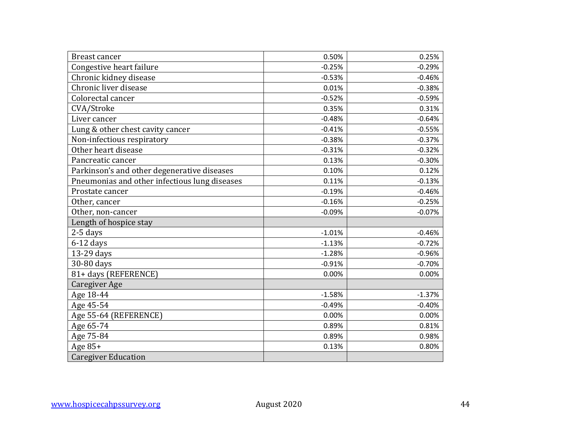| <b>Breast cancer</b>                          | 0.50%    | 0.25%    |
|-----------------------------------------------|----------|----------|
| Congestive heart failure                      | $-0.25%$ | $-0.29%$ |
| Chronic kidney disease                        | $-0.53%$ | $-0.46%$ |
| Chronic liver disease                         | 0.01%    | $-0.38%$ |
| Colorectal cancer                             | $-0.52%$ | $-0.59%$ |
| CVA/Stroke                                    | 0.35%    | 0.31%    |
| Liver cancer                                  | $-0.48%$ | $-0.64%$ |
| Lung & other chest cavity cancer              | $-0.41%$ | $-0.55%$ |
| Non-infectious respiratory                    | $-0.38%$ | $-0.37%$ |
| Other heart disease                           | $-0.31%$ | $-0.32%$ |
| Pancreatic cancer                             | 0.13%    | $-0.30%$ |
| Parkinson's and other degenerative diseases   | 0.10%    | 0.12%    |
| Pneumonias and other infectious lung diseases | 0.11%    | $-0.13%$ |
| Prostate cancer                               | $-0.19%$ | $-0.46%$ |
| Other, cancer                                 | $-0.16%$ | $-0.25%$ |
| Other, non-cancer                             | $-0.09%$ | $-0.07%$ |
| Length of hospice stay                        |          |          |
| 2-5 days                                      | $-1.01%$ | $-0.46%$ |
| $6-12$ days                                   | $-1.13%$ | $-0.72%$ |
| 13-29 days                                    | $-1.28%$ | $-0.96%$ |
| 30-80 days                                    | $-0.91%$ | $-0.70%$ |
| 81+ days (REFERENCE)                          | 0.00%    | 0.00%    |
| <b>Caregiver Age</b>                          |          |          |
| Age 18-44                                     | $-1.58%$ | $-1.37%$ |
| Age 45-54                                     | $-0.49%$ | $-0.40%$ |
| Age 55-64 (REFERENCE)                         | 0.00%    | 0.00%    |
| Age 65-74                                     | 0.89%    | 0.81%    |
| Age 75-84                                     | 0.89%    | 0.98%    |
| Age $85+$                                     | 0.13%    | 0.80%    |
| <b>Caregiver Education</b>                    |          |          |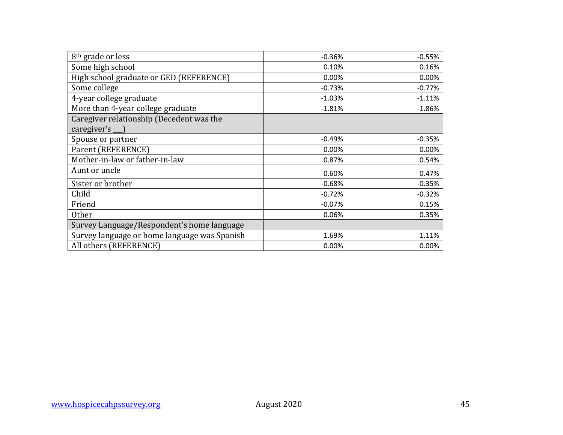| 8 <sup>th</sup> grade or less                                  | $-0.36%$ | $-0.55%$ |
|----------------------------------------------------------------|----------|----------|
| Some high school                                               | 0.10%    | 0.16%    |
| High school graduate or GED (REFERENCE)                        | 0.00%    | 0.00%    |
| Some college                                                   | $-0.73%$ | $-0.77%$ |
| 4-year college graduate                                        | $-1.03%$ | $-1.11%$ |
| More than 4-year college graduate                              | $-1.81%$ | $-1.86%$ |
| Caregiver relationship (Decedent was the<br>caregiver's $\Box$ |          |          |
| Spouse or partner                                              | $-0.49%$ | $-0.35%$ |
| Parent (REFERENCE)                                             | 0.00%    | 0.00%    |
| Mother-in-law or father-in-law                                 | 0.87%    | 0.54%    |
| Aunt or uncle                                                  | 0.60%    | 0.47%    |
| Sister or brother                                              | $-0.68%$ | $-0.35%$ |
| Child                                                          | $-0.72%$ | $-0.32%$ |
| Friend                                                         | $-0.07%$ | 0.15%    |
| <b>Other</b>                                                   | 0.06%    | 0.35%    |
| Survey Language/Respondent's home language                     |          |          |
| Survey language or home language was Spanish                   | 1.69%    | 1.11%    |
| All others (REFERENCE)                                         | 0.00%    | 0.00%    |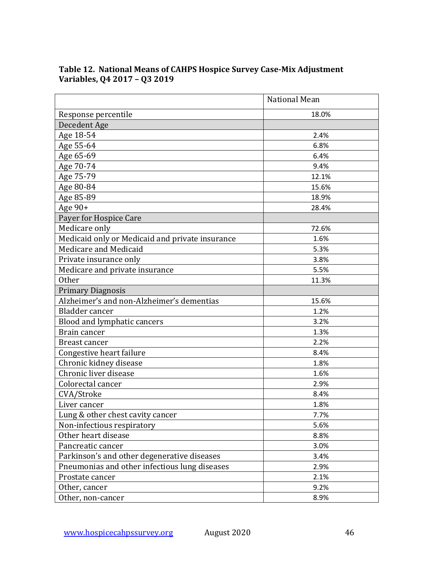|                                                 | <b>National Mean</b> |
|-------------------------------------------------|----------------------|
| Response percentile                             | 18.0%                |
| Decedent Age                                    |                      |
| Age 18-54                                       | 2.4%                 |
| Age 55-64                                       | 6.8%                 |
| Age 65-69                                       | 6.4%                 |
| Age 70-74                                       | 9.4%                 |
| Age 75-79                                       | 12.1%                |
| Age 80-84                                       | 15.6%                |
| Age 85-89                                       | 18.9%                |
| Age 90+                                         | 28.4%                |
| Payer for Hospice Care                          |                      |
| Medicare only                                   | 72.6%                |
| Medicaid only or Medicaid and private insurance | 1.6%                 |
| Medicare and Medicaid                           | 5.3%                 |
| Private insurance only                          | 3.8%                 |
| Medicare and private insurance                  | 5.5%                 |
| <b>Other</b>                                    | 11.3%                |
| <b>Primary Diagnosis</b>                        |                      |
| Alzheimer's and non-Alzheimer's dementias       | 15.6%                |
| Bladder cancer                                  | 1.2%                 |
| Blood and lymphatic cancers                     | 3.2%                 |
| Brain cancer                                    | 1.3%                 |
| <b>Breast cancer</b>                            | 2.2%                 |
| Congestive heart failure                        | 8.4%                 |
| Chronic kidney disease                          | 1.8%                 |
| Chronic liver disease                           | 1.6%                 |
| Colorectal cancer                               | 2.9%                 |
| CVA/Stroke                                      | 8.4%                 |
| Liver cancer                                    | 1.8%                 |
| Lung & other chest cavity cancer                | 7.7%                 |
| Non-infectious respiratory                      | 5.6%                 |
| Other heart disease                             | 8.8%                 |
| Pancreatic cancer                               | 3.0%                 |
| Parkinson's and other degenerative diseases     | 3.4%                 |
| Pneumonias and other infectious lung diseases   | 2.9%                 |
| Prostate cancer                                 | 2.1%                 |
| Other, cancer                                   | 9.2%                 |
| Other, non-cancer                               | 8.9%                 |

### **Table 12. National Means of CAHPS Hospice Survey Case-Mix Adjustment Variables, Q4 2017 – Q3 2019**